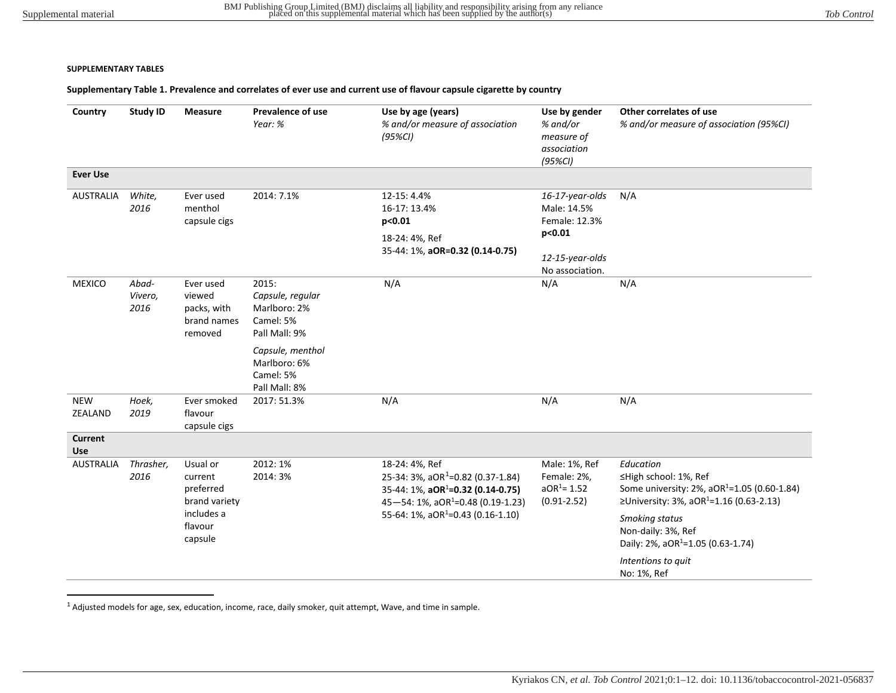#### <span id="page-0-1"></span>**SUPPLEMENTARY TABLES**

### **Supplementary Table 1. Prevalence and correlates of ever use and current use of flavour capsule cigarette by country**

| Country                      | <b>Study ID</b>          | <b>Measure</b>                                                                        | <b>Prevalence of use</b><br>Year: %                                                         | Use by age (years)<br>% and/or measure of association<br>$(95\%CI)$                                                                                                                                        | Use by gender<br>% and/or<br>measure of<br>association<br>$(95\%Cl)$ | Other correlates of use<br>% and/or measure of association (95%CI)                                                                                                                                                                                                                 |
|------------------------------|--------------------------|---------------------------------------------------------------------------------------|---------------------------------------------------------------------------------------------|------------------------------------------------------------------------------------------------------------------------------------------------------------------------------------------------------------|----------------------------------------------------------------------|------------------------------------------------------------------------------------------------------------------------------------------------------------------------------------------------------------------------------------------------------------------------------------|
| <b>Ever Use</b>              |                          |                                                                                       |                                                                                             |                                                                                                                                                                                                            |                                                                      |                                                                                                                                                                                                                                                                                    |
| <b>AUSTRALIA</b>             | White,<br>2016           | Ever used<br>menthol<br>capsule cigs                                                  | 2014: 7.1%                                                                                  | 12-15: 4.4%<br>16-17: 13.4%<br>p<0.01<br>18-24: 4%, Ref                                                                                                                                                    | 16-17-year-olds<br>Male: 14.5%<br>Female: 12.3%<br>p<0.01            | N/A                                                                                                                                                                                                                                                                                |
|                              |                          |                                                                                       |                                                                                             | 35-44: 1%, aOR=0.32 (0.14-0.75)                                                                                                                                                                            | 12-15-year-olds<br>No association.                                   |                                                                                                                                                                                                                                                                                    |
| <b>MEXICO</b>                | Abad-<br>Vivero,<br>2016 | Ever used<br>viewed<br>packs, with<br>brand names<br>removed                          | 2015:<br>Capsule, regular<br>Marlboro: 2%<br>Camel: 5%<br>Pall Mall: 9%<br>Capsule, menthol | N/A                                                                                                                                                                                                        | N/A                                                                  | N/A                                                                                                                                                                                                                                                                                |
|                              |                          |                                                                                       | Marlboro: 6%<br>Camel: 5%<br>Pall Mall: 8%                                                  |                                                                                                                                                                                                            |                                                                      |                                                                                                                                                                                                                                                                                    |
| <b>NEW</b><br>ZEALAND        | Hoek,<br>2019            | Ever smoked<br>flavour<br>capsule cigs                                                | 2017: 51.3%                                                                                 | N/A                                                                                                                                                                                                        | N/A                                                                  | N/A                                                                                                                                                                                                                                                                                |
| <b>Current</b><br><b>Use</b> |                          |                                                                                       |                                                                                             |                                                                                                                                                                                                            |                                                                      |                                                                                                                                                                                                                                                                                    |
| <b>AUSTRALIA</b>             | Thrasher,<br>2016        | Usual or<br>current<br>preferred<br>brand variety<br>includes a<br>flavour<br>capsule | 2012: 1%<br>2014: 3%                                                                        | 18-24: 4%, Ref<br>25-34: 3%, aOR <sup>1</sup> =0.82 (0.37-1.84)<br>35-44: 1%, $aOR^1 = 0.32$ (0.14-0.75)<br>45-54: 1%, aOR <sup>1</sup> =0.48 (0.19-1.23)<br>55-64: 1%, aOR <sup>1</sup> =0.43 (0.16-1.10) | Male: 1%, Ref<br>Female: 2%,<br>$aOR1 = 1.52$<br>$(0.91 - 2.52)$     | Education<br>≤High school: 1%, Ref<br>Some university: 2%, aOR <sup>1</sup> =1.05 (0.60-1.84)<br>≥University: 3%, aOR <sup>1</sup> =1.16 (0.63-2.13)<br>Smoking status<br>Non-daily: 3%, Ref<br>Daily: 2%, aOR <sup>1</sup> =1.05 (0.63-1.74)<br>Intentions to quit<br>No: 1%, Ref |

<span id="page-0-0"></span> $1$  Adjusted models for age, sex, education, income, race, daily smoker, quit attempt, Wave, and time in sample.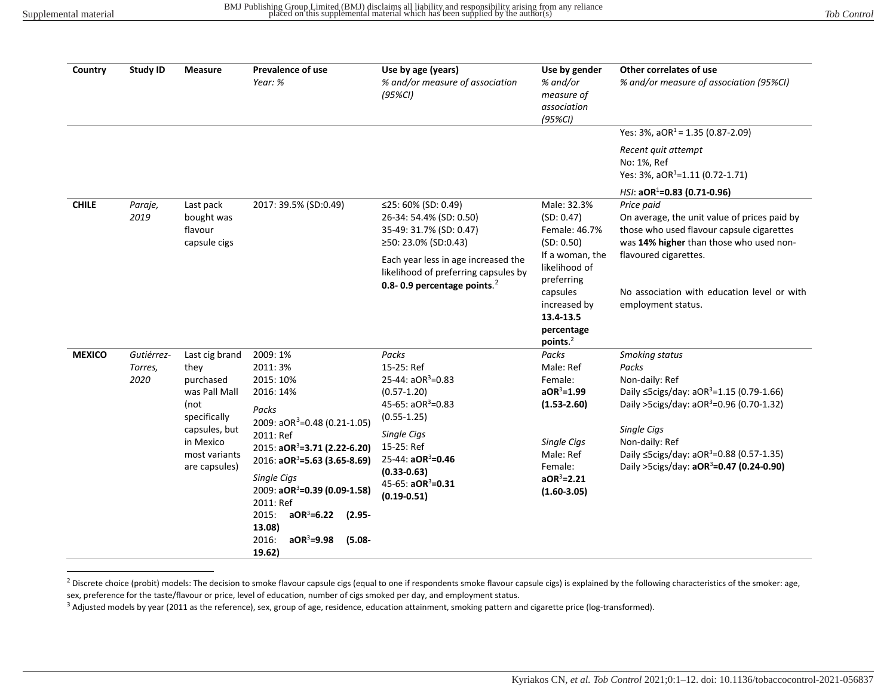<span id="page-1-3"></span><span id="page-1-2"></span><span id="page-1-0"></span>

| Country       | <b>Study ID</b>               | <b>Measure</b>                                                                                                                               | <b>Prevalence of use</b><br>Year: %                                                                                                                                                                                                                                                                                                                                   | Use by age (years)<br>% and/or measure of association<br>$(95\%Cl)$                                                                                                                                                                      | Use by gender<br>% and/or<br>measure of<br>association<br>$(95\%CI)$                                                                     | Other correlates of use<br>% and/or measure of association (95%CI)<br>Yes: $3\%$ , $aOR^1 = 1.35$ (0.87-2.09)<br>Recent quit attempt                                                                                                                                                                       |
|---------------|-------------------------------|----------------------------------------------------------------------------------------------------------------------------------------------|-----------------------------------------------------------------------------------------------------------------------------------------------------------------------------------------------------------------------------------------------------------------------------------------------------------------------------------------------------------------------|------------------------------------------------------------------------------------------------------------------------------------------------------------------------------------------------------------------------------------------|------------------------------------------------------------------------------------------------------------------------------------------|------------------------------------------------------------------------------------------------------------------------------------------------------------------------------------------------------------------------------------------------------------------------------------------------------------|
|               |                               |                                                                                                                                              |                                                                                                                                                                                                                                                                                                                                                                       |                                                                                                                                                                                                                                          |                                                                                                                                          | No: 1%, Ref<br>Yes: 3%, aOR <sup>1</sup> =1.11 (0.72-1.71)<br>$HSI: aOR1=0.83 (0.71-0.96)$                                                                                                                                                                                                                 |
| <b>CHILE</b>  | Paraje,<br>2019               | Last pack<br>bought was<br>flavour<br>capsule cigs                                                                                           | 2017: 39.5% (SD:0.49)                                                                                                                                                                                                                                                                                                                                                 | ≤25: 60% (SD: 0.49)<br>26-34: 54.4% (SD: 0.50)<br>35-49: 31.7% (SD: 0.47)<br>≥50: 23.0% (SD:0.43)                                                                                                                                        | Male: 32.3%<br>(SD: 0.47)<br>Female: 46.7%<br>(SD: 0.50)                                                                                 | Price paid<br>On average, the unit value of prices paid by<br>those who used flavour capsule cigarettes<br>was 14% higher than those who used non-                                                                                                                                                         |
|               |                               |                                                                                                                                              |                                                                                                                                                                                                                                                                                                                                                                       | Each year less in age increased the<br>likelihood of preferring capsules by<br>0.8-0.9 percentage points. $2$                                                                                                                            | If a woman, the<br>likelihood of<br>preferring<br>capsules<br>increased by<br>13.4-13.5<br>percentage<br>points. <sup>2</sup>            | flavoured cigarettes.<br>No association with education level or with<br>employment status.                                                                                                                                                                                                                 |
| <b>MEXICO</b> | Gutiérrez-<br>Torres,<br>2020 | Last cig brand<br>they<br>purchased<br>was Pall Mall<br>(not<br>specifically<br>capsules, but<br>in Mexico<br>most variants<br>are capsules) | 2009: 1%<br>2011:3%<br>2015: 10%<br>2016: 14%<br>Packs<br>2009: aOR <sup>3</sup> =0.48 (0.21-1.05)<br>2011: Ref<br>2015: aOR <sup>3</sup> =3.71 (2.22-6.20)<br>2016: $aOR^3 = 5.63$ (3.65-8.69)<br>Single Cigs<br>2009: aOR <sup>3</sup> =0.39 (0.09-1.58)<br>2011: Ref<br>2015:<br>$aOR3=6.22$<br>$(2.95 -$<br>13.08)<br>$aOR3=9.98$<br>2016:<br>$(5.08 -$<br>19.62) | Packs<br>15-25: Ref<br>25-44: $aOR^3 = 0.83$<br>$(0.57 - 1.20)$<br>45-65: $aOR^3 = 0.83$<br>$(0.55 - 1.25)$<br>Single Cigs<br>15-25: Ref<br>25-44: aOR <sup>3</sup> =0.46<br>$(0.33 - 0.63)$<br>45-65: $aOR^3 = 0.31$<br>$(0.19 - 0.51)$ | Packs<br>Male: Ref<br>Female:<br>$aOR3=1.99$<br>$(1.53 - 2.60)$<br>Single Cigs<br>Male: Ref<br>Female:<br>$aOR3=2.21$<br>$(1.60 - 3.05)$ | Smoking status<br>Packs<br>Non-daily: Ref<br>Daily ≤5cigs/day: aOR <sup>3</sup> =1.15 (0.79-1.66)<br>Daily >5cigs/day: aOR <sup>3</sup> =0.96 (0.70-1.32)<br>Single Cigs<br>Non-daily: Ref<br>Daily ≤5cigs/day: aOR <sup>3</sup> =0.88 (0.57-1.35)<br>Daily >5cigs/day: aOR <sup>3</sup> =0.47 (0.24-0.90) |

<span id="page-1-1"></span><sup>&</sup>lt;sup>2</sup> Discrete choice (probit) models: The decision to smoke flavour capsule cigs (equal to one if respondents smoke flavour capsule cigs) is explained by the following characteristics of the smoker: age, sex, preference for the taste/flavour or price, level of education, number of cigs smoked per day, and employment status.

<sup>&</sup>lt;sup>3</sup> Adjusted models by year (2011 as the reference), sex, group of age, residence, education attainment, smoking pattern and cigarette price (log-transformed).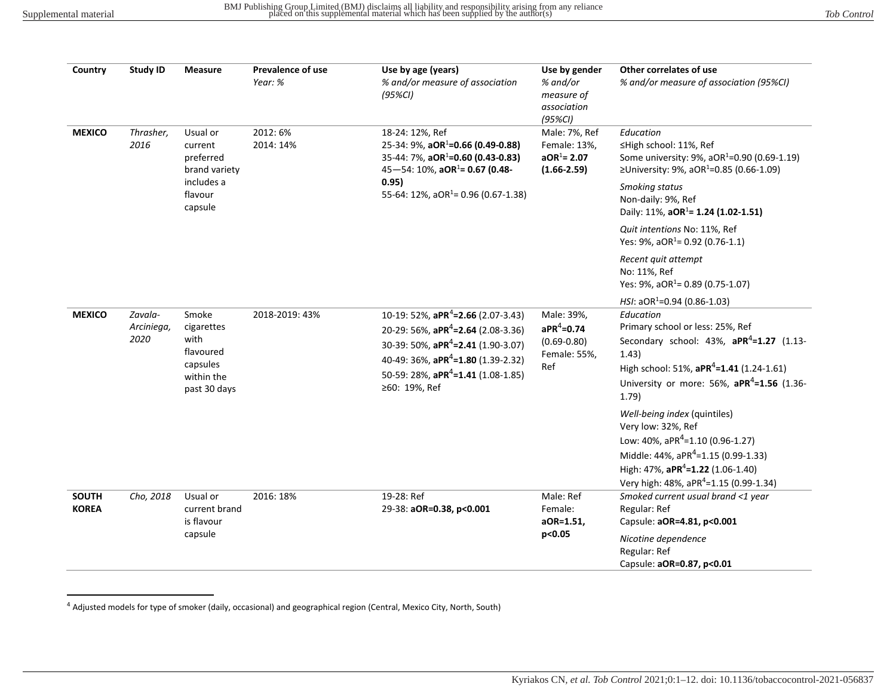<span id="page-2-1"></span><span id="page-2-0"></span>

| Country                      | <b>Study ID</b>               | <b>Measure</b>                                                                        | Prevalence of use<br>Year: % | Use by age (years)<br>% and/or measure of association<br>$(95\%Cl)$                                                                                                                                                                                                     | Use by gender<br>% and/or<br>measure of<br>association<br>$(95\%Cl)$   | Other correlates of use<br>% and/or measure of association (95%CI)                                                                                                                                                                                                                                                                                                                                                                                                                                                       |
|------------------------------|-------------------------------|---------------------------------------------------------------------------------------|------------------------------|-------------------------------------------------------------------------------------------------------------------------------------------------------------------------------------------------------------------------------------------------------------------------|------------------------------------------------------------------------|--------------------------------------------------------------------------------------------------------------------------------------------------------------------------------------------------------------------------------------------------------------------------------------------------------------------------------------------------------------------------------------------------------------------------------------------------------------------------------------------------------------------------|
| <b>MEXICO</b>                | Thrasher,<br>2016             | Usual or<br>current<br>preferred<br>brand variety<br>includes a<br>flavour<br>capsule | 2012:6%<br>2014: 14%         | 18-24: 12%, Ref<br>25-34: 9%, aOR <sup>1</sup> =0.66 (0.49-0.88)<br>35-44: 7%, $aOR^1 = 0.60$ (0.43-0.83)<br>45-54: 10%, aOR <sup>1</sup> = 0.67 (0.48-<br>0.95)<br>55-64: 12%, aOR <sup>1</sup> = 0.96 (0.67-1.38)                                                     | Male: 7%, Ref<br>Female: 13%,<br>$aOR^1 = 2.07$<br>$(1.66 - 2.59)$     | Education<br>≤High school: 11%, Ref<br>Some university: 9%, aOR <sup>1</sup> =0.90 (0.69-1.19)<br>≥University: 9%, aOR <sup>1</sup> =0.85 (0.66-1.09)<br>Smoking status<br>Non-daily: 9%, Ref<br>Daily: 11%, aOR <sup>1</sup> = 1.24 (1.02-1.51)<br>Quit intentions No: 11%, Ref<br>Yes: 9%, aOR <sup>1</sup> = 0.92 (0.76-1.1)                                                                                                                                                                                          |
|                              |                               |                                                                                       |                              |                                                                                                                                                                                                                                                                         |                                                                        | Recent quit attempt<br>No: 11%, Ref<br>Yes: 9%, aOR <sup>1</sup> = 0.89 (0.75-1.07)                                                                                                                                                                                                                                                                                                                                                                                                                                      |
| <b>MEXICO</b>                | Zavala-<br>Arciniega,<br>2020 | Smoke<br>cigarettes<br>with<br>flavoured<br>capsules<br>within the<br>past 30 days    | 2018-2019: 43%               | 10-19: 52%, aPR <sup>4</sup> =2.66 (2.07-3.43)<br>20-29: 56%, aPR <sup>4</sup> =2.64 (2.08-3.36)<br>30-39: 50%, aPR <sup>4</sup> =2.41 (1.90-3.07)<br>40-49: 36%, aPR <sup>4</sup> =1.80 (1.39-2.32)<br>50-59: 28%, aPR <sup>4</sup> =1.41 (1.08-1.85)<br>≥60: 19%, Ref | Male: 39%,<br>$aPR^4 = 0.74$<br>$(0.69 - 0.80)$<br>Female: 55%,<br>Ref | HSI: $aOR^1 = 0.94$ (0.86-1.03)<br>Education<br>Primary school or less: 25%, Ref<br>Secondary school: $43\%$ , $aPR^4 = 1.27$ (1.13-<br>1.43)<br>High school: 51%, aPR <sup>4</sup> =1.41 (1.24-1.61)<br>University or more: 56%, $aPR^4 = 1.56$ (1.36-<br>1.79<br>Well-being index (quintiles)<br>Very low: 32%, Ref<br>Low: 40%, $aPR^4 = 1.10(0.96 - 1.27)$<br>Middle: 44%, aPR <sup>4</sup> =1.15 (0.99-1.33)<br>High: 47%, aPR <sup>4</sup> =1.22 (1.06-1.40)<br>Very high: 48%, aPR <sup>4</sup> =1.15 (0.99-1.34) |
| <b>SOUTH</b><br><b>KOREA</b> | Cho, 2018                     | Usual or<br>current brand<br>is flavour<br>capsule                                    | 2016: 18%                    | 19-28: Ref<br>29-38: aOR=0.38, p<0.001                                                                                                                                                                                                                                  | Male: Ref<br>Female:<br>aOR=1.51,<br>p<0.05                            | Smoked current usual brand <1 year<br>Regular: Ref<br>Capsule: aOR=4.81, p<0.001<br>Nicotine dependence<br>Regular: Ref<br>Capsule: aOR=0.87, p<0.01                                                                                                                                                                                                                                                                                                                                                                     |

<sup>4</sup> Adjusted models for type of smoker (daily, occasional) and geographical region (Central, Mexico City, North, South)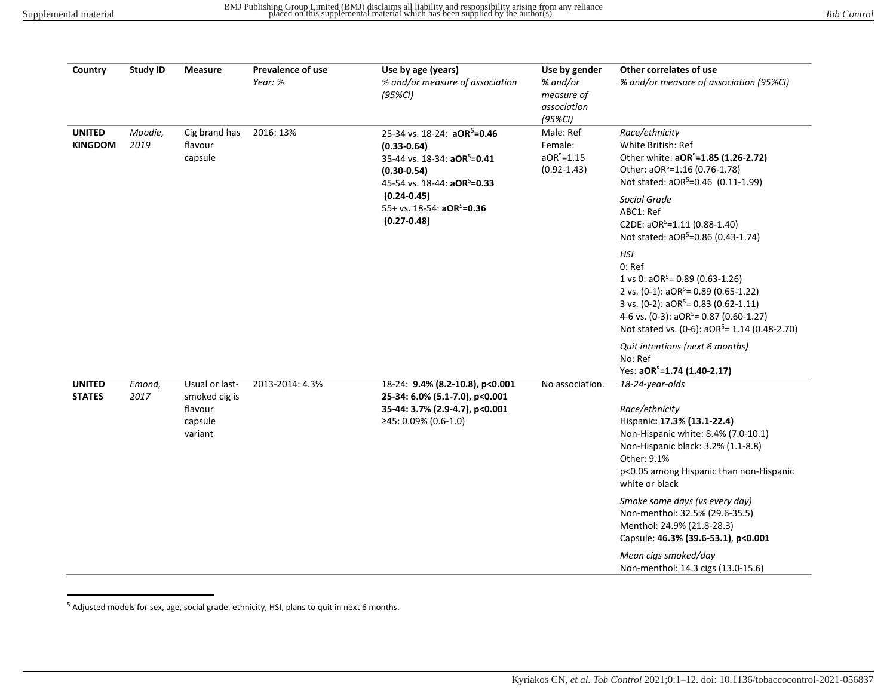<span id="page-3-1"></span><span id="page-3-0"></span>

| Country                         | <b>Study ID</b> | Measure                                                                             | <b>Prevalence of use</b><br>Year: % | Use by age (years)<br>% and/or measure of association<br>$(95\%Cl)$                                                                                                 | Use by gender<br>% and/or<br>measure of<br>association<br>$(95\%Cl)$                                                                  | Other correlates of use<br>% and/or measure of association (95%CI)                                                                                                                                                                                    |
|---------------------------------|-----------------|-------------------------------------------------------------------------------------|-------------------------------------|---------------------------------------------------------------------------------------------------------------------------------------------------------------------|---------------------------------------------------------------------------------------------------------------------------------------|-------------------------------------------------------------------------------------------------------------------------------------------------------------------------------------------------------------------------------------------------------|
| <b>UNITED</b><br><b>KINGDOM</b> | Moodie,<br>2019 | Cig brand has<br>flavour<br>capsule                                                 | 2016: 13%                           | 25-34 vs. 18-24: aOR <sup>5</sup> =0.46<br>$(0.33 - 0.64)$<br>35-44 vs. 18-34: aOR <sup>5</sup> =0.41<br>$(0.30 - 0.54)$<br>45-54 vs. 18-44: aOR <sup>5</sup> =0.33 | Male: Ref<br>Female:<br>$aOR5=1.15$<br>$(0.92 - 1.43)$                                                                                | Race/ethnicity<br>White British: Ref<br>Other white: aOR <sup>5</sup> =1.85 (1.26-2.72)<br>Other: aOR <sup>5</sup> =1.16 (0.76-1.78)<br>Not stated: aOR <sup>5</sup> =0.46 (0.11-1.99)                                                                |
|                                 |                 |                                                                                     |                                     | $(0.24 - 0.45)$<br>55+ vs. 18-54: aOR <sup>5</sup> =0.36<br>$(0.27 - 0.48)$                                                                                         |                                                                                                                                       | Social Grade<br>ABC1: Ref<br>C2DE: aOR <sup>5</sup> =1.11 (0.88-1.40)<br>Not stated: aOR <sup>5</sup> =0.86 (0.43-1.74)                                                                                                                               |
|                                 |                 |                                                                                     |                                     |                                                                                                                                                                     |                                                                                                                                       | HSI<br>$0:$ Ref<br>1 vs 0: $aOR^5 = 0.89$ (0.63-1.26)<br>2 vs. $(0-1)$ : $aOR5=0.89$ $(0.65-1.22)$<br>3 vs. (0-2): $aOR5= 0.83$ (0.62-1.11)<br>4-6 vs. (0-3): $aOR^5 = 0.87$ (0.60-1.27)<br>Not stated vs. (0-6): aOR <sup>5</sup> = 1.14 (0.48-2.70) |
|                                 |                 |                                                                                     |                                     |                                                                                                                                                                     |                                                                                                                                       | Quit intentions (next 6 months)<br>No: Ref<br>Yes: aOR <sup>5</sup> =1.74 (1.40-2.17)                                                                                                                                                                 |
| <b>UNITED</b><br><b>STATES</b>  | Emond,<br>2017  | Usual or last-<br>2013-2014: 4.3%<br>smoked cig is<br>flavour<br>capsule<br>variant | ≥45: 0.09% (0.6-1.0)                | 18-24: 9.4% (8.2-10.8), p<0.001<br>25-34: 6.0% (5.1-7.0), p<0.001<br>35-44: 3.7% (2.9-4.7), p<0.001                                                                 | No association.                                                                                                                       | 18-24-year-olds<br>Race/ethnicity<br>Hispanic: 17.3% (13.1-22.4)<br>Non-Hispanic white: 8.4% (7.0-10.1)<br>Non-Hispanic black: 3.2% (1.1-8.8)<br>Other: 9.1%<br>p<0.05 among Hispanic than non-Hispanic<br>white or black                             |
|                                 |                 |                                                                                     |                                     |                                                                                                                                                                     | Smoke some days (vs every day)<br>Non-menthol: 32.5% (29.6-35.5)<br>Menthol: 24.9% (21.8-28.3)<br>Capsule: 46.3% (39.6-53.1), p<0.001 |                                                                                                                                                                                                                                                       |
|                                 |                 |                                                                                     |                                     |                                                                                                                                                                     |                                                                                                                                       | Mean cigs smoked/day<br>Non-menthol: 14.3 cigs (13.0-15.6)                                                                                                                                                                                            |

<sup>&</sup>lt;sup>5</sup> Adjusted models for sex, age, social grade, ethnicity, HSI, plans to quit in next 6 months.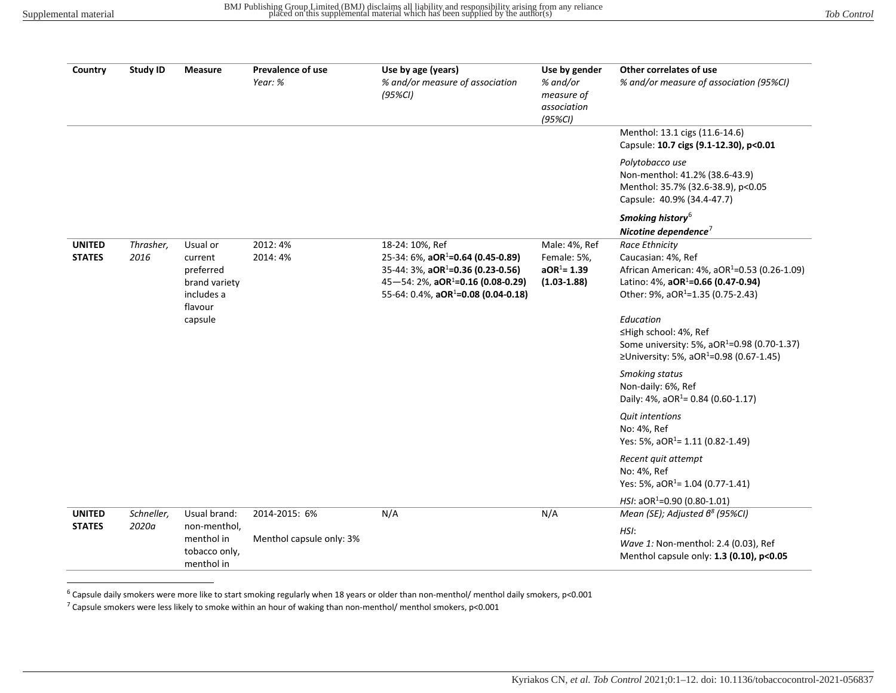<span id="page-4-1"></span><span id="page-4-0"></span>

| Country                        | <b>Study ID</b>     | <b>Measure</b>                                                                        | <b>Prevalence of use</b> | Use by age (years)                                                                                                                                                                                                         | Use by gender                                                     | Other correlates of use                                                                                                                                                                                                                                                                                                                                                                                                                                                                                                                               |
|--------------------------------|---------------------|---------------------------------------------------------------------------------------|--------------------------|----------------------------------------------------------------------------------------------------------------------------------------------------------------------------------------------------------------------------|-------------------------------------------------------------------|-------------------------------------------------------------------------------------------------------------------------------------------------------------------------------------------------------------------------------------------------------------------------------------------------------------------------------------------------------------------------------------------------------------------------------------------------------------------------------------------------------------------------------------------------------|
|                                |                     |                                                                                       | Year: %                  | % and/or measure of association<br>$(95\%Cl)$                                                                                                                                                                              | % and/or<br>measure of<br>association<br>$(95\%Cl)$               | % and/or measure of association (95%CI)                                                                                                                                                                                                                                                                                                                                                                                                                                                                                                               |
|                                |                     |                                                                                       |                          |                                                                                                                                                                                                                            |                                                                   | Menthol: 13.1 cigs (11.6-14.6)<br>Capsule: 10.7 cigs (9.1-12.30), p<0.01                                                                                                                                                                                                                                                                                                                                                                                                                                                                              |
|                                |                     |                                                                                       |                          |                                                                                                                                                                                                                            |                                                                   | Polytobacco use<br>Non-menthol: 41.2% (38.6-43.9)<br>Menthol: 35.7% (32.6-38.9), p<0.05<br>Capsule: 40.9% (34.4-47.7)                                                                                                                                                                                                                                                                                                                                                                                                                                 |
|                                |                     |                                                                                       |                          |                                                                                                                                                                                                                            |                                                                   | Smoking history <sup>6</sup><br>Nicotine dependence $\overline{ }$                                                                                                                                                                                                                                                                                                                                                                                                                                                                                    |
| <b>UNITED</b><br><b>STATES</b> | Thrasher,<br>2016   | Usual or<br>current<br>preferred<br>brand variety<br>includes a<br>flavour<br>capsule | 2012:4%<br>2014: 4%      | 18-24: 10%, Ref<br>25-34: 6%, aOR <sup>1</sup> =0.64 (0.45-0.89)<br>35-44: 3%, aOR <sup>1</sup> =0.36 (0.23-0.56)<br>$45 - 54$ : 2%, aOR <sup>1</sup> =0.16 (0.08-0.29)<br>55-64: 0.4%, aOR <sup>1</sup> =0.08 (0.04-0.18) | Male: 4%, Ref<br>Female: 5%,<br>$aOR^1 = 1.39$<br>$(1.03 - 1.88)$ | Race Ethnicity<br>Caucasian: 4%, Ref<br>African American: 4%, aOR <sup>1</sup> =0.53 (0.26-1.09)<br>Latino: 4%, aOR <sup>1</sup> =0.66 (0.47-0.94)<br>Other: 9%, aOR <sup>1</sup> =1.35 (0.75-2.43)<br>Education<br>≤High school: 4%, Ref<br>Some university: 5%, aOR <sup>1</sup> =0.98 (0.70-1.37)<br>≥University: 5%, aOR <sup>1</sup> =0.98 (0.67-1.45)<br><b>Smoking status</b><br>Non-daily: 6%, Ref<br>Daily: 4%, aOR <sup>1</sup> = 0.84 (0.60-1.17)<br><b>Quit intentions</b><br>No: 4%, Ref<br>Yes: 5%, aOR <sup>1</sup> = 1.11 (0.82-1.49) |
|                                |                     |                                                                                       |                          |                                                                                                                                                                                                                            |                                                                   | Recent quit attempt<br>No: 4%, Ref<br>Yes: 5%, aOR <sup>1</sup> = 1.04 (0.77-1.41)                                                                                                                                                                                                                                                                                                                                                                                                                                                                    |
|                                |                     |                                                                                       |                          |                                                                                                                                                                                                                            |                                                                   | HSI: $aOR^1 = 0.90$ (0.80-1.01)                                                                                                                                                                                                                                                                                                                                                                                                                                                                                                                       |
| <b>UNITED</b><br><b>STATES</b> | Schneller,<br>2020a | Usual brand:<br>non-menthol,                                                          | 2014-2015: 6%            | N/A                                                                                                                                                                                                                        | N/A                                                               | Mean (SE); Adjusted 6 <sup>8</sup> (95%CI)                                                                                                                                                                                                                                                                                                                                                                                                                                                                                                            |
|                                |                     | menthol in<br>tobacco only,<br>menthol in                                             | Menthol capsule only: 3% |                                                                                                                                                                                                                            |                                                                   | HSI:<br>Wave 1: Non-menthol: 2.4 (0.03), Ref<br>Menthol capsule only: 1.3 (0.10), p<0.05                                                                                                                                                                                                                                                                                                                                                                                                                                                              |

 $6$  Capsule daily smokers were more like to start smoking regularly when 18 years or older than non-menthol/ menthol daily smokers, p<0.001

<sup>7</sup> Capsule smokers were less likely to smoke within an hour of waking than non-menthol/ menthol smokers, p<0.001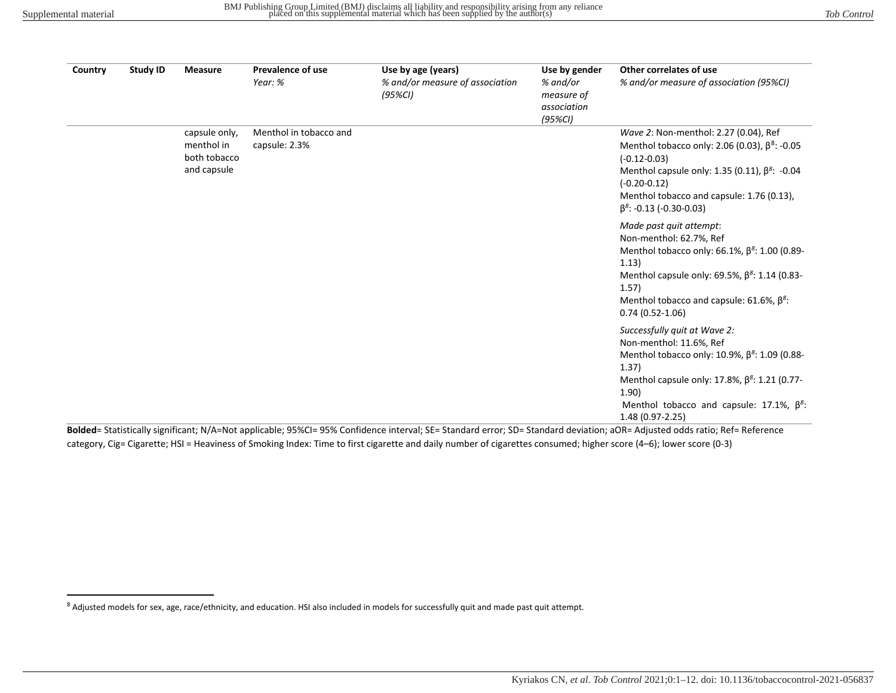<span id="page-5-0"></span>

| Country | <b>Study ID</b> | <b>Measure</b>                                             | <b>Prevalence of use</b><br>Year: %     | Use by age (years)<br>% and/or measure of association<br>(95%CI) | Use by gender<br>% and/or<br>measure of<br>association<br>$(95\%CI)$ | Other correlates of use<br>% and/or measure of association (95%CI)                                                                                                                                                                                                           |
|---------|-----------------|------------------------------------------------------------|-----------------------------------------|------------------------------------------------------------------|----------------------------------------------------------------------|------------------------------------------------------------------------------------------------------------------------------------------------------------------------------------------------------------------------------------------------------------------------------|
|         |                 | capsule only,<br>menthol in<br>both tobacco<br>and capsule | Menthol in tobacco and<br>capsule: 2.3% |                                                                  |                                                                      | Wave 2: Non-menthol: 2.27 (0.04), Ref<br>Menthol tobacco only: 2.06 (0.03), $\beta^8$ : -0.05<br>$(-0.12 - 0.03)$<br>Menthol capsule only: 1.35 (0.11), $\beta^8$ : -0.04<br>$(-0.20 - 0.12)$<br>Menthol tobacco and capsule: 1.76 (0.13),<br>$\beta^8$ : -0.13 (-0.30-0.03) |
|         |                 |                                                            |                                         |                                                                  |                                                                      | Made past quit attempt:<br>Non-menthol: 62.7%, Ref<br>Menthol tobacco only: 66.1%, $\beta^8$ : 1.00 (0.89-<br>1.13)<br>Menthol capsule only: 69.5%, $\beta^8$ : 1.14 (0.83-<br>1.57)<br>Menthol tobacco and capsule: 61.6%, $\beta^8$ :<br>$0.74(0.52-1.06)$                 |
|         |                 |                                                            |                                         |                                                                  |                                                                      | Successfully quit at Wave 2:<br>Non-menthol: 11.6%, Ref<br>Menthol tobacco only: 10.9%, $\beta^8$ : 1.09 (0.88-<br>1.37)<br>Menthol capsule only: 17.8%, $\beta^8$ : 1.21 (0.77-<br>1.90)<br>Menthol tobacco and capsule: 17.1%, $\beta^8$ :<br>1.48 (0.97-2.25)             |

**Bolded**= Statistically significant; N/A=Not applicable; 95%CI= 95% Confidence interval; SE= Standard error; SD= Standard deviation; aOR= Adjusted odds ratio; Ref= Reference category, Cig= Cigarette; HSI = Heaviness of Smoking Index: Time to first cigarette and daily number of cigarettes consumed; higher score (4–6); lower score (0-3)

<sup>8</sup> Adjusted models for sex, age, race/ethnicity, and education. HSI also included in models for successfully quit and made past quit attempt.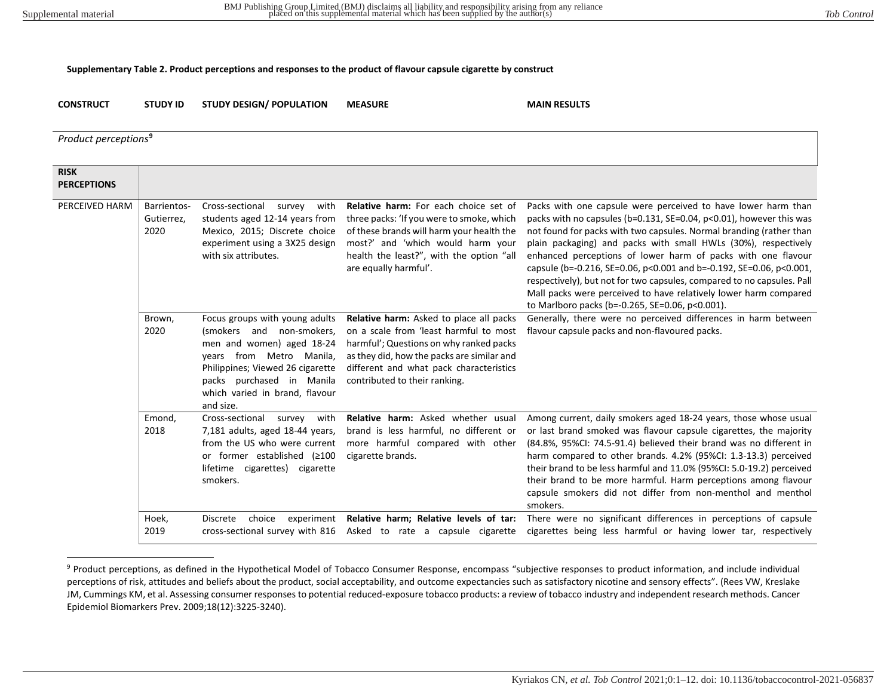## **Supplementary Table 2. Product perceptions and responses to the product of flavour capsule cigarette by construct**

**CONSTRUCT STUDY ID STUDY DESIGN/ POPULATION MEASURE MAIN RESULTS**

<span id="page-6-0"></span>

| Product perceptions <sup>9</sup>  |                                   |                                                                                                                                                                                                                                      |                                                                                                                                                                                                                                                        |                                                                                                                                                                                                                                                                                                                                                                                                                                                                                                                                                                                                                       |
|-----------------------------------|-----------------------------------|--------------------------------------------------------------------------------------------------------------------------------------------------------------------------------------------------------------------------------------|--------------------------------------------------------------------------------------------------------------------------------------------------------------------------------------------------------------------------------------------------------|-----------------------------------------------------------------------------------------------------------------------------------------------------------------------------------------------------------------------------------------------------------------------------------------------------------------------------------------------------------------------------------------------------------------------------------------------------------------------------------------------------------------------------------------------------------------------------------------------------------------------|
| <b>RISK</b><br><b>PERCEPTIONS</b> |                                   |                                                                                                                                                                                                                                      |                                                                                                                                                                                                                                                        |                                                                                                                                                                                                                                                                                                                                                                                                                                                                                                                                                                                                                       |
| PERCEIVED HARM                    | Barrientos-<br>Gutierrez,<br>2020 | Cross-sectional<br>with<br>survey<br>students aged 12-14 years from<br>Mexico, 2015; Discrete choice<br>experiment using a 3X25 design<br>with six attributes.                                                                       | Relative harm: For each choice set of<br>three packs: 'If you were to smoke, which<br>of these brands will harm your health the<br>most?' and 'which would harm your<br>health the least?", with the option "all<br>are equally harmful'.              | Packs with one capsule were perceived to have lower harm than<br>packs with no capsules (b=0.131, SE=0.04, p<0.01), however this was<br>not found for packs with two capsules. Normal branding (rather than<br>plain packaging) and packs with small HWLs (30%), respectively<br>enhanced perceptions of lower harm of packs with one flavour<br>capsule (b=-0.216, SE=0.06, p<0.001 and b=-0.192, SE=0.06, p<0.001,<br>respectively), but not for two capsules, compared to no capsules. Pall<br>Mall packs were perceived to have relatively lower harm compared<br>to Marlboro packs (b=-0.265, SE=0.06, p<0.001). |
|                                   | Brown,<br>2020                    | Focus groups with young adults<br>(smokers and non-smokers,<br>men and women) aged 18-24<br>years from Metro Manila,<br>Philippines; Viewed 26 cigarette<br>packs purchased in Manila<br>which varied in brand, flavour<br>and size. | Relative harm: Asked to place all packs<br>on a scale from 'least harmful to most<br>harmful'; Questions on why ranked packs<br>as they did, how the packs are similar and<br>different and what pack characteristics<br>contributed to their ranking. | Generally, there were no perceived differences in harm between<br>flavour capsule packs and non-flavoured packs.                                                                                                                                                                                                                                                                                                                                                                                                                                                                                                      |
|                                   | Emond,<br>2018                    | Cross-sectional<br>with<br>survey<br>7,181 adults, aged 18-44 years,<br>from the US who were current<br>or former established (≥100<br>lifetime cigarettes) cigarette<br>smokers.                                                    | Relative harm: Asked whether usual<br>brand is less harmful, no different or<br>more harmful compared with other<br>cigarette brands.                                                                                                                  | Among current, daily smokers aged 18-24 years, those whose usual<br>or last brand smoked was flavour capsule cigarettes, the majority<br>(84.8%, 95%CI: 74.5-91.4) believed their brand was no different in<br>harm compared to other brands. 4.2% (95%CI: 1.3-13.3) perceived<br>their brand to be less harmful and 11.0% (95%CI: 5.0-19.2) perceived<br>their brand to be more harmful. Harm perceptions among flavour<br>capsule smokers did not differ from non-menthol and menthol<br>smokers.                                                                                                                   |
|                                   | Hoek,<br>2019                     | <b>Discrete</b><br>choice<br>experiment<br>cross-sectional survey with 816                                                                                                                                                           | Relative harm; Relative levels of tar:<br>Asked to rate a capsule cigarette                                                                                                                                                                            | There were no significant differences in perceptions of capsule<br>cigarettes being less harmful or having lower tar, respectively                                                                                                                                                                                                                                                                                                                                                                                                                                                                                    |

<sup>&</sup>lt;sup>9</sup> Product perceptions, as defined in the Hypothetical Model of Tobacco Consumer Response, encompass "subjective responses to product information, and include individual perceptions of risk, attitudes and beliefs about the product, social acceptability, and outcome expectancies such as satisfactory nicotine and sensory effects". (Rees VW, Kreslake JM, Cummings KM, et al. Assessing consumer responses to potential reduced-exposure tobacco products: a review of tobacco industry and independent research methods. Cancer Epidemiol Biomarkers Prev. 2009;18(12):3225-3240).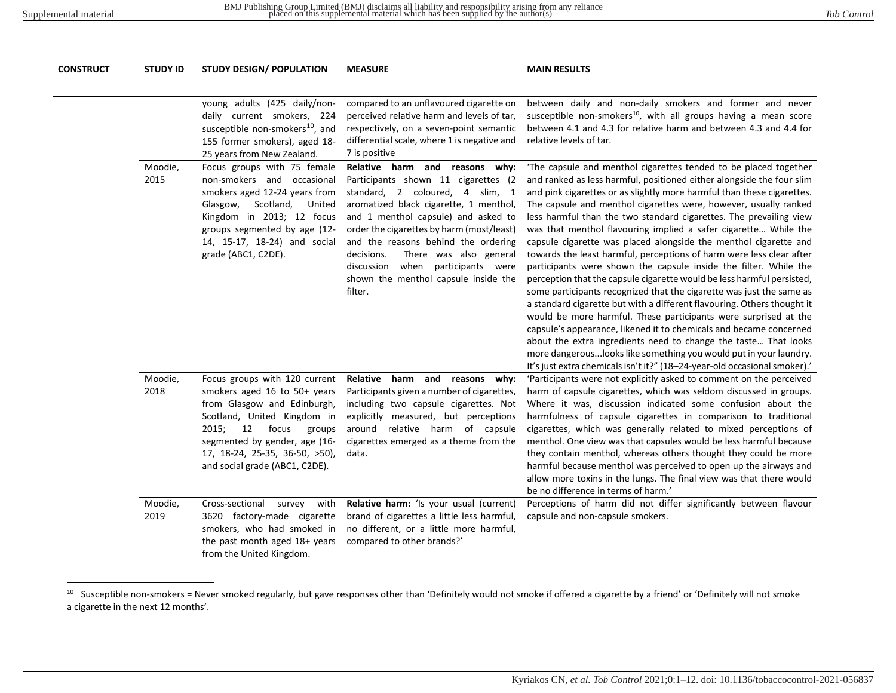<span id="page-7-1"></span><span id="page-7-0"></span>

| CONSTRUCT | <b>STUDY ID</b> | <b>STUDY DESIGN/ POPULATION</b>                                                                                                                                                                                                                                    | <b>MEASURE</b>                                                                                                                                                                                                                                                                                                                                                                                                   | <b>MAIN RESULTS</b>                                                                                                                                                                                                                                                                                                                                                                                                                                                                                                                                                                                                                                                                                                                                                                                                                                                                                                                                                                                                                                                                                                                                                                                                                          |
|-----------|-----------------|--------------------------------------------------------------------------------------------------------------------------------------------------------------------------------------------------------------------------------------------------------------------|------------------------------------------------------------------------------------------------------------------------------------------------------------------------------------------------------------------------------------------------------------------------------------------------------------------------------------------------------------------------------------------------------------------|----------------------------------------------------------------------------------------------------------------------------------------------------------------------------------------------------------------------------------------------------------------------------------------------------------------------------------------------------------------------------------------------------------------------------------------------------------------------------------------------------------------------------------------------------------------------------------------------------------------------------------------------------------------------------------------------------------------------------------------------------------------------------------------------------------------------------------------------------------------------------------------------------------------------------------------------------------------------------------------------------------------------------------------------------------------------------------------------------------------------------------------------------------------------------------------------------------------------------------------------|
|           |                 | young adults (425 daily/non-<br>daily current smokers, 224<br>susceptible non-smokers <sup>10</sup> , and<br>155 former smokers), aged 18-<br>25 years from New Zealand.                                                                                           | compared to an unflavoured cigarette on<br>perceived relative harm and levels of tar,<br>respectively, on a seven-point semantic<br>differential scale, where 1 is negative and<br>7 is positive                                                                                                                                                                                                                 | between daily and non-daily smokers and former and never<br>susceptible non-smokers <sup>10</sup> , with all groups having a mean score<br>between 4.1 and 4.3 for relative harm and between 4.3 and 4.4 for<br>relative levels of tar.                                                                                                                                                                                                                                                                                                                                                                                                                                                                                                                                                                                                                                                                                                                                                                                                                                                                                                                                                                                                      |
|           | Moodie,<br>2015 | Focus groups with 75 female<br>non-smokers and occasional<br>smokers aged 12-24 years from<br>Glasgow,<br>Scotland,<br>United<br>Kingdom in 2013; 12 focus<br>groups segmented by age (12-<br>14, 15-17, 18-24) and social<br>grade (ABC1, C2DE).                  | Relative harm and reasons why:<br>Participants shown 11 cigarettes (2<br>standard, 2 coloured, 4 slim, 1<br>aromatized black cigarette, 1 menthol,<br>and 1 menthol capsule) and asked to<br>order the cigarettes by harm (most/least)<br>and the reasons behind the ordering<br>There was also general<br>decisions.<br>when participants were<br>discussion<br>shown the menthol capsule inside the<br>filter. | 'The capsule and menthol cigarettes tended to be placed together<br>and ranked as less harmful, positioned either alongside the four slim<br>and pink cigarettes or as slightly more harmful than these cigarettes.<br>The capsule and menthol cigarettes were, however, usually ranked<br>less harmful than the two standard cigarettes. The prevailing view<br>was that menthol flavouring implied a safer cigarette While the<br>capsule cigarette was placed alongside the menthol cigarette and<br>towards the least harmful, perceptions of harm were less clear after<br>participants were shown the capsule inside the filter. While the<br>perception that the capsule cigarette would be less harmful persisted,<br>some participants recognized that the cigarette was just the same as<br>a standard cigarette but with a different flavouring. Others thought it<br>would be more harmful. These participants were surprised at the<br>capsule's appearance, likened it to chemicals and became concerned<br>about the extra ingredients need to change the taste That looks<br>more dangerous looks like something you would put in your laundry.<br>It's just extra chemicals isn't it?" (18-24-year-old occasional smoker).' |
|           | Moodie,<br>2018 | Focus groups with 120 current<br>smokers aged 16 to 50+ years<br>from Glasgow and Edinburgh,<br>Scotland, United Kingdom in<br>2015;<br>12<br>focus<br>groups<br>segmented by gender, age (16-<br>17, 18-24, 25-35, 36-50, >50),<br>and social grade (ABC1, C2DE). | Relative harm and reasons why:<br>Participants given a number of cigarettes,<br>including two capsule cigarettes. Not<br>explicitly measured, but perceptions<br>around relative harm of capsule<br>cigarettes emerged as a theme from the<br>data.                                                                                                                                                              | 'Participants were not explicitly asked to comment on the perceived<br>harm of capsule cigarettes, which was seldom discussed in groups.<br>Where it was, discussion indicated some confusion about the<br>harmfulness of capsule cigarettes in comparison to traditional<br>cigarettes, which was generally related to mixed perceptions of<br>menthol. One view was that capsules would be less harmful because<br>they contain menthol, whereas others thought they could be more<br>harmful because menthol was perceived to open up the airways and<br>allow more toxins in the lungs. The final view was that there would<br>be no difference in terms of harm.'                                                                                                                                                                                                                                                                                                                                                                                                                                                                                                                                                                       |
|           | Moodie,<br>2019 | Cross-sectional<br>with<br>survey<br>3620 factory-made cigarette<br>smokers, who had smoked in<br>the past month aged 18+ years<br>from the United Kingdom.                                                                                                        | Relative harm: 'Is your usual (current)<br>brand of cigarettes a little less harmful,<br>no different, or a little more harmful,<br>compared to other brands?'                                                                                                                                                                                                                                                   | Perceptions of harm did not differ significantly between flavour<br>capsule and non-capsule smokers.                                                                                                                                                                                                                                                                                                                                                                                                                                                                                                                                                                                                                                                                                                                                                                                                                                                                                                                                                                                                                                                                                                                                         |

<sup>&</sup>lt;sup>10</sup> Susceptible non-smokers = Never smoked regularly, but gave responses other than 'Definitely would not smoke if offered a cigarette by a friend' or 'Definitely will not smoke a cigarette in the next 12 months'.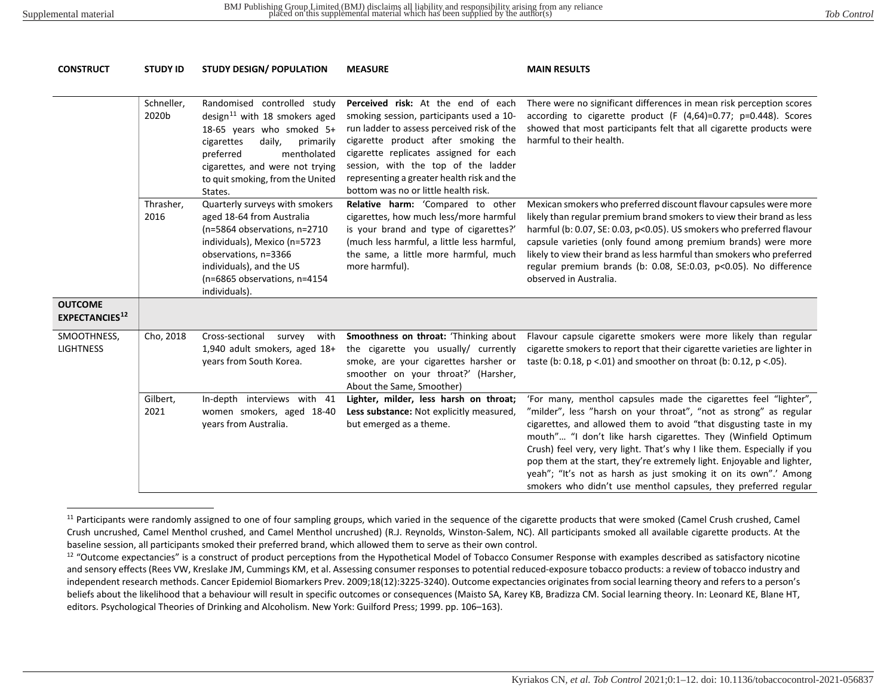<span id="page-8-1"></span><span id="page-8-0"></span>

| <b>CONSTRUCT</b>                        | <b>STUDY ID</b>     | <b>STUDY DESIGN/ POPULATION</b>                                                                                                                                                                                                                          | <b>MEASURE</b>                                                                                                                                                                                                                                                                                                                             | <b>MAIN RESULTS</b>                                                                                                                                                                                                                                                                                                                                                                                                                                                                                                                                                     |
|-----------------------------------------|---------------------|----------------------------------------------------------------------------------------------------------------------------------------------------------------------------------------------------------------------------------------------------------|--------------------------------------------------------------------------------------------------------------------------------------------------------------------------------------------------------------------------------------------------------------------------------------------------------------------------------------------|-------------------------------------------------------------------------------------------------------------------------------------------------------------------------------------------------------------------------------------------------------------------------------------------------------------------------------------------------------------------------------------------------------------------------------------------------------------------------------------------------------------------------------------------------------------------------|
|                                         | Schneller,<br>2020b | Randomised controlled study<br>design <sup>11</sup> with 18 smokers aged<br>18-65 years who smoked 5+<br>cigarettes<br>daily,<br>primarily<br>preferred<br>mentholated<br>cigarettes, and were not trying<br>to quit smoking, from the United<br>States. | Perceived risk: At the end of each<br>smoking session, participants used a 10-<br>run ladder to assess perceived risk of the<br>cigarette product after smoking the<br>cigarette replicates assigned for each<br>session, with the top of the ladder<br>representing a greater health risk and the<br>bottom was no or little health risk. | There were no significant differences in mean risk perception scores<br>according to cigarette product (F (4,64)=0.77; p=0.448). Scores<br>showed that most participants felt that all cigarette products were<br>harmful to their health.                                                                                                                                                                                                                                                                                                                              |
|                                         | Thrasher,<br>2016   | Quarterly surveys with smokers<br>aged 18-64 from Australia<br>(n=5864 observations, n=2710<br>individuals), Mexico (n=5723<br>observations, n=3366<br>individuals), and the US<br>(n=6865 observations, n=4154<br>individuals).                         | Relative harm: 'Compared to other<br>cigarettes, how much less/more harmful<br>is your brand and type of cigarettes?'<br>(much less harmful, a little less harmful,<br>the same, a little more harmful, much<br>more harmful).                                                                                                             | Mexican smokers who preferred discount flavour capsules were more<br>likely than regular premium brand smokers to view their brand as less<br>harmful (b: 0.07, SE: 0.03, p<0.05). US smokers who preferred flavour<br>capsule varieties (only found among premium brands) were more<br>likely to view their brand as less harmful than smokers who preferred<br>regular premium brands (b: 0.08, SE:0.03, p<0.05). No difference<br>observed in Australia.                                                                                                             |
| <b>OUTCOME</b><br><b>EXPECTANCIES12</b> |                     |                                                                                                                                                                                                                                                          |                                                                                                                                                                                                                                                                                                                                            |                                                                                                                                                                                                                                                                                                                                                                                                                                                                                                                                                                         |
| SMOOTHNESS,<br><b>LIGHTNESS</b>         | Cho, 2018           | Cross-sectional<br>survey<br>with<br>1,940 adult smokers, aged 18+<br>years from South Korea.                                                                                                                                                            | Smoothness on throat: 'Thinking about<br>the cigarette you usually/ currently<br>smoke, are your cigarettes harsher or<br>smoother on your throat?' (Harsher,<br>About the Same, Smoother)                                                                                                                                                 | Flavour capsule cigarette smokers were more likely than regular<br>cigarette smokers to report that their cigarette varieties are lighter in<br>taste (b: 0.18, $p < 01$ ) and smoother on throat (b: 0.12, $p < 05$ ).                                                                                                                                                                                                                                                                                                                                                 |
|                                         | Gilbert,<br>2021    | In-depth interviews with 41<br>women smokers, aged 18-40<br>years from Australia.                                                                                                                                                                        | Lighter, milder, less harsh on throat;<br>Less substance: Not explicitly measured,<br>but emerged as a theme.                                                                                                                                                                                                                              | 'For many, menthol capsules made the cigarettes feel "lighter",<br>"milder", less "harsh on your throat", "not as strong" as regular<br>cigarettes, and allowed them to avoid "that disgusting taste in my<br>mouth" "I don't like harsh cigarettes. They (Winfield Optimum<br>Crush) feel very, very light. That's why I like them. Especially if you<br>pop them at the start, they're extremely light. Enjoyable and lighter,<br>yeah"; "It's not as harsh as just smoking it on its own".' Among<br>smokers who didn't use menthol capsules, they preferred regular |

<sup>&</sup>lt;sup>11</sup> Participants were randomly assigned to one of four sampling groups, which varied in the sequence of the cigarette products that were smoked (Camel Crush crushed, Camel Crush uncrushed, Camel Menthol crushed, and Camel Menthol uncrushed) (R.J. Reynolds, Winston-Salem, NC). All participants smoked all available cigarette products. At the baseline session, all participants smoked their preferred brand, which allowed them to serve as their own control.

<sup>&</sup>lt;sup>12</sup> "Outcome expectancies" is a construct of product perceptions from the Hypothetical Model of Tobacco Consumer Response with examples described as satisfactory nicotine and sensory effects (Rees VW, Kreslake JM, Cummings KM, et al. Assessing consumer responses to potential reduced-exposure tobacco products: a review of tobacco industry and independent research methods. Cancer Epidemiol Biomarkers Prev. 2009;18(12):3225-3240). Outcome expectancies originates from social learning theory and refers to a person's beliefs about the likelihood that a behaviour will result in specific outcomes or consequences (Maisto SA, Karey KB, Bradizza CM. Social learning theory. In: Leonard KE, Blane HT, editors. Psychological Theories of Drinking and Alcoholism. New York: Guilford Press; 1999. pp. 106–163).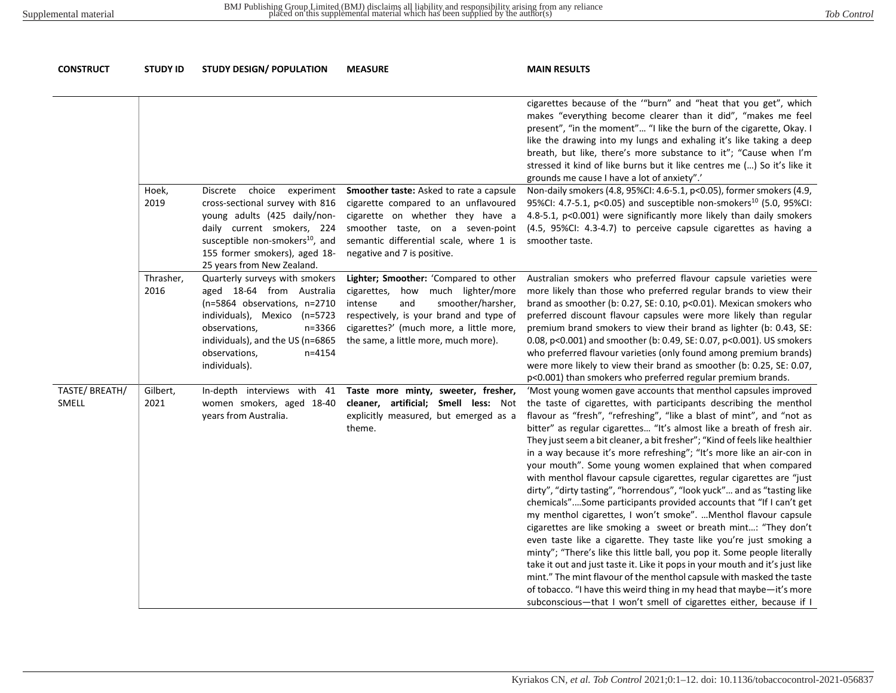| <b>CONSTRUCT</b>       | <b>STUDY ID</b>   | <b>STUDY DESIGN/ POPULATION</b>                                                                                                                                                                                                              | <b>MEASURE</b>                                                                                                                                                                                                                                     | <b>MAIN RESULTS</b>                                                                                                                                                                                                                                                                                                                                                                                                                                                                                                                                                                                                                                                                                                                                                                                                                                                                                                                                                                                                                                                                                                                                                                                                                                                                                                                   |
|------------------------|-------------------|----------------------------------------------------------------------------------------------------------------------------------------------------------------------------------------------------------------------------------------------|----------------------------------------------------------------------------------------------------------------------------------------------------------------------------------------------------------------------------------------------------|---------------------------------------------------------------------------------------------------------------------------------------------------------------------------------------------------------------------------------------------------------------------------------------------------------------------------------------------------------------------------------------------------------------------------------------------------------------------------------------------------------------------------------------------------------------------------------------------------------------------------------------------------------------------------------------------------------------------------------------------------------------------------------------------------------------------------------------------------------------------------------------------------------------------------------------------------------------------------------------------------------------------------------------------------------------------------------------------------------------------------------------------------------------------------------------------------------------------------------------------------------------------------------------------------------------------------------------|
|                        |                   |                                                                                                                                                                                                                                              |                                                                                                                                                                                                                                                    | cigarettes because of the ""burn" and "heat that you get", which<br>makes "everything become clearer than it did", "makes me feel<br>present", "in the moment" "I like the burn of the cigarette, Okay. I<br>like the drawing into my lungs and exhaling it's like taking a deep<br>breath, but like, there's more substance to it"; "Cause when I'm<br>stressed it kind of like burns but it like centres me () So it's like it<br>grounds me cause I have a lot of anxiety".'                                                                                                                                                                                                                                                                                                                                                                                                                                                                                                                                                                                                                                                                                                                                                                                                                                                       |
|                        | Hoek,<br>2019     | choice experiment<br>Discrete<br>cross-sectional survey with 816<br>young adults (425 daily/non-<br>daily current smokers, 224<br>susceptible non-smokers <sup>10</sup> , and<br>155 former smokers), aged 18-<br>25 years from New Zealand. | Smoother taste: Asked to rate a capsule<br>cigarette compared to an unflavoured<br>cigarette on whether they have a<br>smoother taste, on a seven-point<br>semantic differential scale, where 1 is<br>negative and 7 is positive.                  | Non-daily smokers (4.8, 95%CI: 4.6-5.1, p<0.05), former smokers (4.9,<br>95%CI: 4.7-5.1, p<0.05) and susceptible non-smokers <sup>10</sup> (5.0, 95%CI:<br>4.8-5.1, p<0.001) were significantly more likely than daily smokers<br>(4.5, 95%CI: 4.3-4.7) to perceive capsule cigarettes as having a<br>smoother taste.                                                                                                                                                                                                                                                                                                                                                                                                                                                                                                                                                                                                                                                                                                                                                                                                                                                                                                                                                                                                                 |
|                        | Thrasher,<br>2016 | Quarterly surveys with smokers<br>aged 18-64 from Australia<br>(n=5864 observations, n=2710<br>individuals), Mexico (n=5723<br>n=3366<br>observations,<br>individuals), and the US (n=6865<br>observations,<br>$n = 4154$<br>individuals).   | Lighter; Smoother: 'Compared to other<br>how much lighter/more<br>cigarettes,<br>intense<br>smoother/harsher,<br>and<br>respectively, is your brand and type of<br>cigarettes?' (much more, a little more,<br>the same, a little more, much more). | Australian smokers who preferred flavour capsule varieties were<br>more likely than those who preferred regular brands to view their<br>brand as smoother (b: 0.27, SE: 0.10, p<0.01). Mexican smokers who<br>preferred discount flavour capsules were more likely than regular<br>premium brand smokers to view their brand as lighter (b: 0.43, SE:<br>0.08, p<0.001) and smoother (b: 0.49, SE: 0.07, p<0.001). US smokers<br>who preferred flavour varieties (only found among premium brands)<br>were more likely to view their brand as smoother (b: 0.25, SE: 0.07,<br>p<0.001) than smokers who preferred regular premium brands.                                                                                                                                                                                                                                                                                                                                                                                                                                                                                                                                                                                                                                                                                             |
| TASTE/BREATH/<br>SMELL | Gilbert,<br>2021  | In-depth interviews with 41<br>women smokers, aged 18-40<br>years from Australia.                                                                                                                                                            | Taste more minty, sweeter, fresher,<br>cleaner, artificial; Smell less: Not<br>explicitly measured, but emerged as a<br>theme.                                                                                                                     | 'Most young women gave accounts that menthol capsules improved<br>the taste of cigarettes, with participants describing the menthol<br>flavour as "fresh", "refreshing", "like a blast of mint", and "not as<br>bitter" as regular cigarettes "It's almost like a breath of fresh air.<br>They just seem a bit cleaner, a bit fresher"; "Kind of feels like healthier<br>in a way because it's more refreshing"; "It's more like an air-con in<br>your mouth". Some young women explained that when compared<br>with menthol flavour capsule cigarettes, regular cigarettes are "just<br>dirty", "dirty tasting", "horrendous", "look yuck" and as "tasting like<br>chemicals"Some participants provided accounts that "If I can't get<br>my menthol cigarettes, I won't smoke".  Menthol flavour capsule<br>cigarettes are like smoking a sweet or breath mint: "They don't<br>even taste like a cigarette. They taste like you're just smoking a<br>minty"; "There's like this little ball, you pop it. Some people literally<br>take it out and just taste it. Like it pops in your mouth and it's just like<br>mint." The mint flavour of the menthol capsule with masked the taste<br>of tobacco. "I have this weird thing in my head that maybe-it's more<br>subconscious-that I won't smell of cigarettes either, because if I |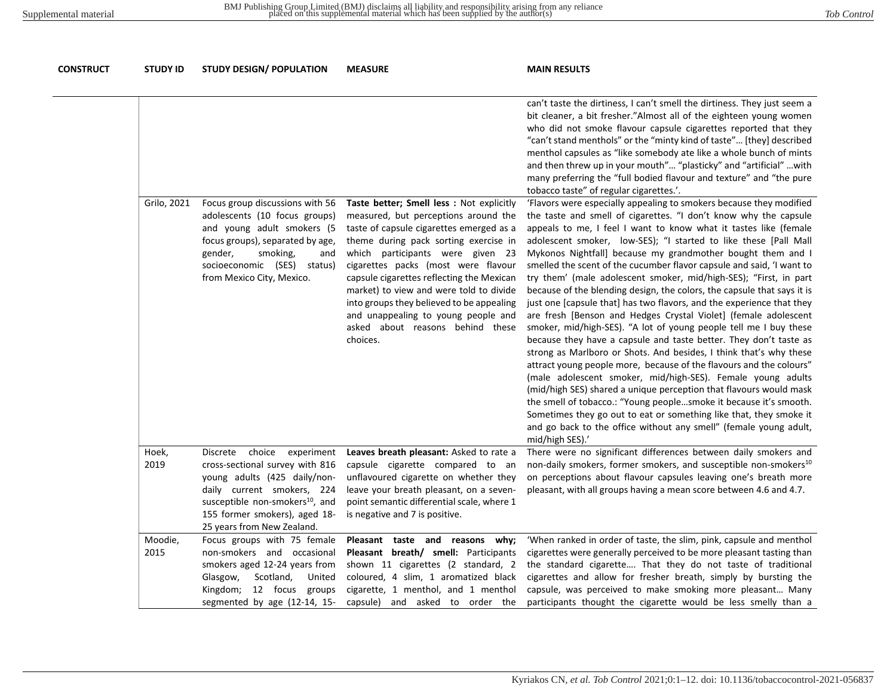| CONSTRUCT | <b>STUDY ID</b> | <b>STUDY DESIGN/ POPULATION</b>                                                                                                                                                                                                                 | <b>MEASURE</b>                                                                                                                                                                                                                                                                                                                                                                                                                                                                | <b>MAIN RESULTS</b>                                                                                                                                                                                                                                                                                                                                                                                                                                                                                                                                                                                                                                                                                                                                                                                                                                                                                                                                                                                                                                                                                                                                                                                                                                                                                                                                                                |
|-----------|-----------------|-------------------------------------------------------------------------------------------------------------------------------------------------------------------------------------------------------------------------------------------------|-------------------------------------------------------------------------------------------------------------------------------------------------------------------------------------------------------------------------------------------------------------------------------------------------------------------------------------------------------------------------------------------------------------------------------------------------------------------------------|------------------------------------------------------------------------------------------------------------------------------------------------------------------------------------------------------------------------------------------------------------------------------------------------------------------------------------------------------------------------------------------------------------------------------------------------------------------------------------------------------------------------------------------------------------------------------------------------------------------------------------------------------------------------------------------------------------------------------------------------------------------------------------------------------------------------------------------------------------------------------------------------------------------------------------------------------------------------------------------------------------------------------------------------------------------------------------------------------------------------------------------------------------------------------------------------------------------------------------------------------------------------------------------------------------------------------------------------------------------------------------|
|           |                 |                                                                                                                                                                                                                                                 |                                                                                                                                                                                                                                                                                                                                                                                                                                                                               | can't taste the dirtiness, I can't smell the dirtiness. They just seem a<br>bit cleaner, a bit fresher."Almost all of the eighteen young women<br>who did not smoke flavour capsule cigarettes reported that they<br>"can't stand menthols" or the "minty kind of taste" [they] described<br>menthol capsules as "like somebody ate like a whole bunch of mints<br>and then threw up in your mouth" "plasticky" and "artificial"  with<br>many preferring the "full bodied flavour and texture" and "the pure<br>tobacco taste" of regular cigarettes.'.                                                                                                                                                                                                                                                                                                                                                                                                                                                                                                                                                                                                                                                                                                                                                                                                                           |
|           | Grilo, 2021     | Focus group discussions with 56<br>adolescents (10 focus groups)<br>and young adult smokers (5<br>focus groups), separated by age,<br>smoking,<br>gender,<br>and<br>socioeconomic (SES) status)<br>from Mexico City, Mexico.                    | Taste better; Smell less : Not explicitly<br>measured, but perceptions around the<br>taste of capsule cigarettes emerged as a<br>theme during pack sorting exercise in<br>which participants were given 23<br>cigarettes packs (most were flavour<br>capsule cigarettes reflecting the Mexican<br>market) to view and were told to divide<br>into groups they believed to be appealing<br>and unappealing to young people and<br>asked about reasons behind these<br>choices. | 'Flavors were especially appealing to smokers because they modified<br>the taste and smell of cigarettes. "I don't know why the capsule<br>appeals to me, I feel I want to know what it tastes like (female<br>adolescent smoker, low-SES); "I started to like these [Pall Mall<br>Mykonos Nightfall] because my grandmother bought them and I<br>smelled the scent of the cucumber flavor capsule and said, 'I want to<br>try them' (male adolescent smoker, mid/high-SES); "First, in part<br>because of the blending design, the colors, the capsule that says it is<br>just one [capsule that] has two flavors, and the experience that they<br>are fresh [Benson and Hedges Crystal Violet] (female adolescent<br>smoker, mid/high-SES). "A lot of young people tell me I buy these<br>because they have a capsule and taste better. They don't taste as<br>strong as Marlboro or Shots. And besides, I think that's why these<br>attract young people more, because of the flavours and the colours"<br>(male adolescent smoker, mid/high-SES). Female young adults<br>(mid/high SES) shared a unique perception that flavours would mask<br>the smell of tobacco.: "Young peoplesmoke it because it's smooth.<br>Sometimes they go out to eat or something like that, they smoke it<br>and go back to the office without any smell" (female young adult,<br>mid/high SES).' |
|           | Hoek,<br>2019   | choice<br>experiment<br>Discrete<br>cross-sectional survey with 816<br>young adults (425 daily/non-<br>daily current smokers, 224<br>susceptible non-smokers <sup>10</sup> , and<br>155 former smokers), aged 18-<br>25 years from New Zealand. | Leaves breath pleasant: Asked to rate a<br>capsule cigarette compared to an<br>unflavoured cigarette on whether they<br>leave your breath pleasant, on a seven-<br>point semantic differential scale, where 1<br>is negative and 7 is positive.                                                                                                                                                                                                                               | There were no significant differences between daily smokers and<br>non-daily smokers, former smokers, and susceptible non-smokers <sup>10</sup><br>on perceptions about flavour capsules leaving one's breath more<br>pleasant, with all groups having a mean score between 4.6 and 4.7.                                                                                                                                                                                                                                                                                                                                                                                                                                                                                                                                                                                                                                                                                                                                                                                                                                                                                                                                                                                                                                                                                           |
|           | Moodie,<br>2015 | Focus groups with 75 female<br>non-smokers and occasional<br>smokers aged 12-24 years from<br>Glasgow,<br>Scotland,<br>United<br>Kingdom; 12 focus groups<br>segmented by age (12-14, 15-                                                       | Pleasant taste and reasons why;<br>Pleasant breath/ smell: Participants<br>shown 11 cigarettes (2 standard, 2<br>coloured, 4 slim, 1 aromatized black<br>cigarette, 1 menthol, and 1 menthol<br>capsule) and asked to order the                                                                                                                                                                                                                                               | 'When ranked in order of taste, the slim, pink, capsule and menthol<br>cigarettes were generally perceived to be more pleasant tasting than<br>the standard cigarette That they do not taste of traditional<br>cigarettes and allow for fresher breath, simply by bursting the<br>capsule, was perceived to make smoking more pleasant Many<br>participants thought the cigarette would be less smelly than a                                                                                                                                                                                                                                                                                                                                                                                                                                                                                                                                                                                                                                                                                                                                                                                                                                                                                                                                                                      |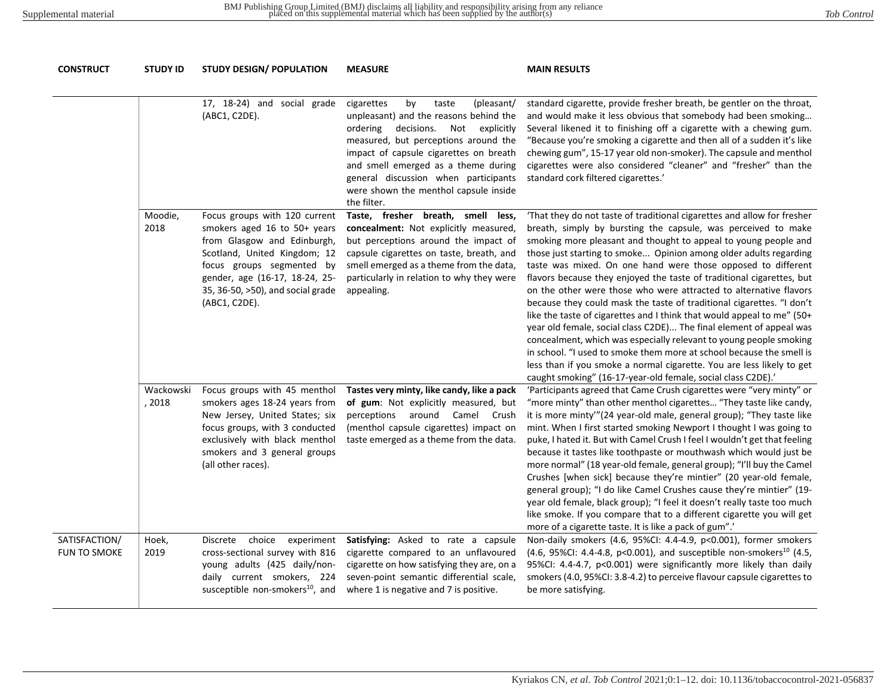| <b>CONSTRUCT</b>              | <b>STUDY ID</b>     | <b>STUDY DESIGN/ POPULATION</b>                                                                                                                                                                                                                   | <b>MEASURE</b>                                                                                                                                                                                                                                                                                                                                         | <b>MAIN RESULTS</b>                                                                                                                                                                                                                                                                                                                                                                                                                                                                                                                                                                                                                                                                                                                                                                                                                                                                                                                                                                                             |
|-------------------------------|---------------------|---------------------------------------------------------------------------------------------------------------------------------------------------------------------------------------------------------------------------------------------------|--------------------------------------------------------------------------------------------------------------------------------------------------------------------------------------------------------------------------------------------------------------------------------------------------------------------------------------------------------|-----------------------------------------------------------------------------------------------------------------------------------------------------------------------------------------------------------------------------------------------------------------------------------------------------------------------------------------------------------------------------------------------------------------------------------------------------------------------------------------------------------------------------------------------------------------------------------------------------------------------------------------------------------------------------------------------------------------------------------------------------------------------------------------------------------------------------------------------------------------------------------------------------------------------------------------------------------------------------------------------------------------|
|                               |                     | 17, 18-24) and social grade<br>(ABC1, C2DE).                                                                                                                                                                                                      | cigarettes<br>by<br>taste<br>(pleasant/<br>unpleasant) and the reasons behind the<br>decisions.<br>Not explicitly<br>ordering<br>measured, but perceptions around the<br>impact of capsule cigarettes on breath<br>and smell emerged as a theme during<br>general discussion when participants<br>were shown the menthol capsule inside<br>the filter. | standard cigarette, provide fresher breath, be gentler on the throat,<br>and would make it less obvious that somebody had been smoking<br>Several likened it to finishing off a cigarette with a chewing gum.<br>"Because you're smoking a cigarette and then all of a sudden it's like<br>chewing gum", 15-17 year old non-smoker). The capsule and menthol<br>cigarettes were also considered "cleaner" and "fresher" than the<br>standard cork filtered cigarettes.'                                                                                                                                                                                                                                                                                                                                                                                                                                                                                                                                         |
|                               | Moodie,<br>2018     | Focus groups with 120 current<br>smokers aged 16 to 50+ years<br>from Glasgow and Edinburgh,<br>Scotland, United Kingdom; 12<br>focus groups segmented by<br>gender, age (16-17, 18-24, 25-<br>35, 36-50, >50), and social grade<br>(ABC1, C2DE). | Taste, fresher breath, smell less,<br>concealment: Not explicitly measured,<br>but perceptions around the impact of<br>capsule cigarettes on taste, breath, and<br>smell emerged as a theme from the data,<br>particularly in relation to why they were<br>appealing.                                                                                  | 'That they do not taste of traditional cigarettes and allow for fresher<br>breath, simply by bursting the capsule, was perceived to make<br>smoking more pleasant and thought to appeal to young people and<br>those just starting to smoke Opinion among older adults regarding<br>taste was mixed. On one hand were those opposed to different<br>flavors because they enjoyed the taste of traditional cigarettes, but<br>on the other were those who were attracted to alternative flavors<br>because they could mask the taste of traditional cigarettes. "I don't<br>like the taste of cigarettes and I think that would appeal to me" (50+<br>year old female, social class C2DE) The final element of appeal was<br>concealment, which was especially relevant to young people smoking<br>in school. "I used to smoke them more at school because the smell is<br>less than if you smoke a normal cigarette. You are less likely to get<br>caught smoking" (16-17-year-old female, social class C2DE).' |
|                               | Wackowski<br>, 2018 | Focus groups with 45 menthol<br>smokers ages 18-24 years from<br>New Jersey, United States; six<br>focus groups, with 3 conducted<br>exclusively with black menthol<br>smokers and 3 general groups<br>(all other races).                         | Tastes very minty, like candy, like a pack<br>of gum: Not explicitly measured, but<br>perceptions around Camel Crush<br>(menthol capsule cigarettes) impact on<br>taste emerged as a theme from the data.                                                                                                                                              | 'Participants agreed that Came Crush cigarettes were "very minty" or<br>"more minty" than other menthol cigarettes "They taste like candy,<br>it is more minty" (24 year-old male, general group); "They taste like<br>mint. When I first started smoking Newport I thought I was going to<br>puke, I hated it. But with Camel Crush I feel I wouldn't get that feeling<br>because it tastes like toothpaste or mouthwash which would just be<br>more normal" (18 year-old female, general group); "I'll buy the Camel<br>Crushes [when sick] because they're mintier" (20 year-old female,<br>general group); "I do like Camel Crushes cause they're mintier" (19-<br>year old female, black group); "I feel it doesn't really taste too much<br>like smoke. If you compare that to a different cigarette you will get<br>more of a cigarette taste. It is like a pack of gum".'                                                                                                                               |
| SATISFACTION/<br>FUN TO SMOKE | Hoek,<br>2019       | choice experiment<br>Discrete<br>cross-sectional survey with 816<br>young adults (425 daily/non-<br>daily current smokers, 224<br>susceptible non-smokers <sup>10</sup> , and                                                                     | Satisfying: Asked to rate a capsule<br>cigarette compared to an unflavoured<br>cigarette on how satisfying they are, on a<br>seven-point semantic differential scale,<br>where 1 is negative and 7 is positive.                                                                                                                                        | Non-daily smokers (4.6, 95%CI: 4.4-4.9, p<0.001), former smokers<br>(4.6, 95%CI: 4.4-4.8, p<0.001), and susceptible non-smokers <sup>10</sup> (4.5,<br>95%CI: 4.4-4.7, p<0.001) were significantly more likely than daily<br>smokers (4.0, 95%CI: 3.8-4.2) to perceive flavour capsule cigarettes to<br>be more satisfying.                                                                                                                                                                                                                                                                                                                                                                                                                                                                                                                                                                                                                                                                                     |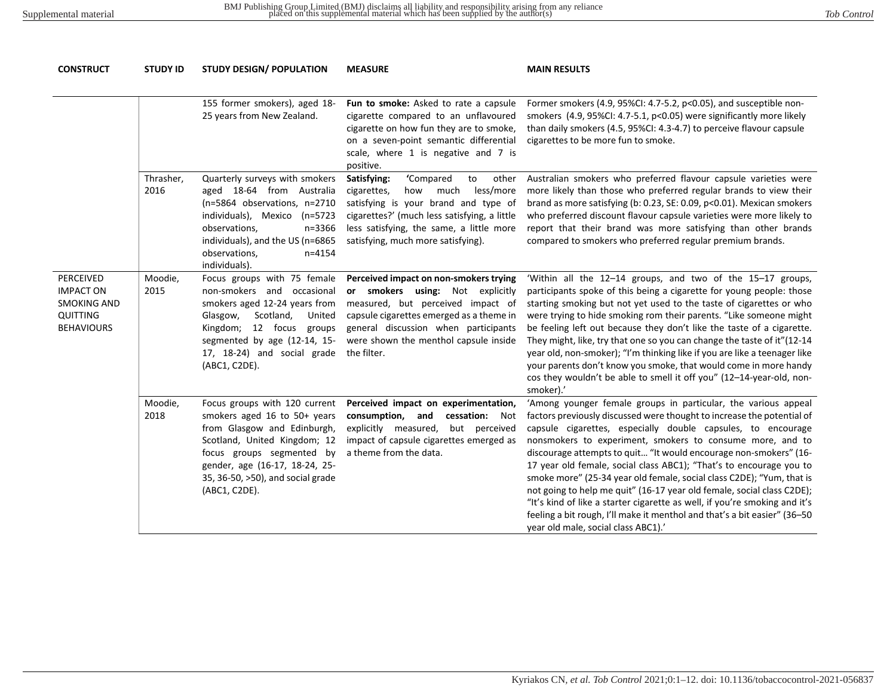| <b>CONSTRUCT</b>                                                                     | <b>STUDY ID</b>   | <b>STUDY DESIGN/ POPULATION</b><br><b>MEASURE</b>                                                                                                                                                                                                 |                                                                                                                                                                                                                                                             | <b>MAIN RESULTS</b>                                                                                                                                                                                                                                                                                                                                                                                                                                                                                                                                                                                                                                                                                                                                                    |  |  |
|--------------------------------------------------------------------------------------|-------------------|---------------------------------------------------------------------------------------------------------------------------------------------------------------------------------------------------------------------------------------------------|-------------------------------------------------------------------------------------------------------------------------------------------------------------------------------------------------------------------------------------------------------------|------------------------------------------------------------------------------------------------------------------------------------------------------------------------------------------------------------------------------------------------------------------------------------------------------------------------------------------------------------------------------------------------------------------------------------------------------------------------------------------------------------------------------------------------------------------------------------------------------------------------------------------------------------------------------------------------------------------------------------------------------------------------|--|--|
|                                                                                      |                   |                                                                                                                                                                                                                                                   |                                                                                                                                                                                                                                                             |                                                                                                                                                                                                                                                                                                                                                                                                                                                                                                                                                                                                                                                                                                                                                                        |  |  |
|                                                                                      |                   | 155 former smokers), aged 18-<br>25 years from New Zealand.                                                                                                                                                                                       | Fun to smoke: Asked to rate a capsule<br>cigarette compared to an unflavoured<br>cigarette on how fun they are to smoke,<br>on a seven-point semantic differential<br>scale, where 1 is negative and 7 is<br>positive.                                      | Former smokers (4.9, 95%CI: 4.7-5.2, p<0.05), and susceptible non-<br>smokers (4.9, 95%CI: 4.7-5.1, p<0.05) were significantly more likely<br>than daily smokers (4.5, 95%CI: 4.3-4.7) to perceive flavour capsule<br>cigarettes to be more fun to smoke.                                                                                                                                                                                                                                                                                                                                                                                                                                                                                                              |  |  |
|                                                                                      | Thrasher,<br>2016 | Quarterly surveys with smokers<br>aged 18-64 from Australia<br>(n=5864 observations, n=2710<br>individuals), Mexico (n=5723<br>n=3366<br>observations,<br>individuals), and the US (n=6865<br>observations,<br>$n = 4154$<br>individuals).        | 'Compared<br>Satisfying:<br>to<br>other<br>how much less/more<br>cigarettes,<br>satisfying is your brand and type of<br>cigarettes?' (much less satisfying, a little<br>less satisfying, the same, a little more<br>satisfying, much more satisfying).      | Australian smokers who preferred flavour capsule varieties were<br>more likely than those who preferred regular brands to view their<br>brand as more satisfying (b: 0.23, SE: 0.09, p<0.01). Mexican smokers<br>who preferred discount flavour capsule varieties were more likely to<br>report that their brand was more satisfying than other brands<br>compared to smokers who preferred regular premium brands.                                                                                                                                                                                                                                                                                                                                                    |  |  |
| PERCEIVED<br><b>IMPACT ON</b><br><b>SMOKING AND</b><br>QUITTING<br><b>BEHAVIOURS</b> | Moodie,<br>2015   | Focus groups with 75 female<br>non-smokers and occasional<br>smokers aged 12-24 years from<br>Glasgow,<br>Scotland,<br>United<br>12 focus groups<br>Kingdom;<br>segmented by age (12-14, 15-<br>17, 18-24) and social grade<br>(ABC1, C2DE).      | Perceived impact on non-smokers trying<br>or smokers using: Not explicitly<br>measured, but perceived impact of<br>capsule cigarettes emerged as a theme in<br>general discussion when participants<br>were shown the menthol capsule inside<br>the filter. | 'Within all the 12-14 groups, and two of the 15-17 groups,<br>participants spoke of this being a cigarette for young people: those<br>starting smoking but not yet used to the taste of cigarettes or who<br>were trying to hide smoking rom their parents. "Like someone might<br>be feeling left out because they don't like the taste of a cigarette.<br>They might, like, try that one so you can change the taste of it"(12-14<br>year old, non-smoker); "I'm thinking like if you are like a teenager like<br>your parents don't know you smoke, that would come in more handy<br>cos they wouldn't be able to smell it off you" (12-14-year-old, non-<br>smoker).'                                                                                              |  |  |
|                                                                                      | Moodie,<br>2018   | Focus groups with 120 current<br>smokers aged 16 to 50+ years<br>from Glasgow and Edinburgh,<br>Scotland, United Kingdom; 12<br>focus groups segmented by<br>gender, age (16-17, 18-24, 25-<br>35, 36-50, >50), and social grade<br>(ABC1, C2DE). | Perceived impact on experimentation,<br>consumption, and<br>cessation: Not<br>explicitly measured,<br>but perceived<br>impact of capsule cigarettes emerged as<br>a theme from the data.                                                                    | 'Among younger female groups in particular, the various appeal<br>factors previously discussed were thought to increase the potential of<br>capsule cigarettes, especially double capsules, to encourage<br>nonsmokers to experiment, smokers to consume more, and to<br>discourage attempts to quit "It would encourage non-smokers" (16-<br>17 year old female, social class ABC1); "That's to encourage you to<br>smoke more" (25-34 year old female, social class C2DE); "Yum, that is<br>not going to help me quit" (16-17 year old female, social class C2DE);<br>"It's kind of like a starter cigarette as well, if you're smoking and it's<br>feeling a bit rough, I'll make it menthol and that's a bit easier" (36-50<br>year old male, social class ABC1).' |  |  |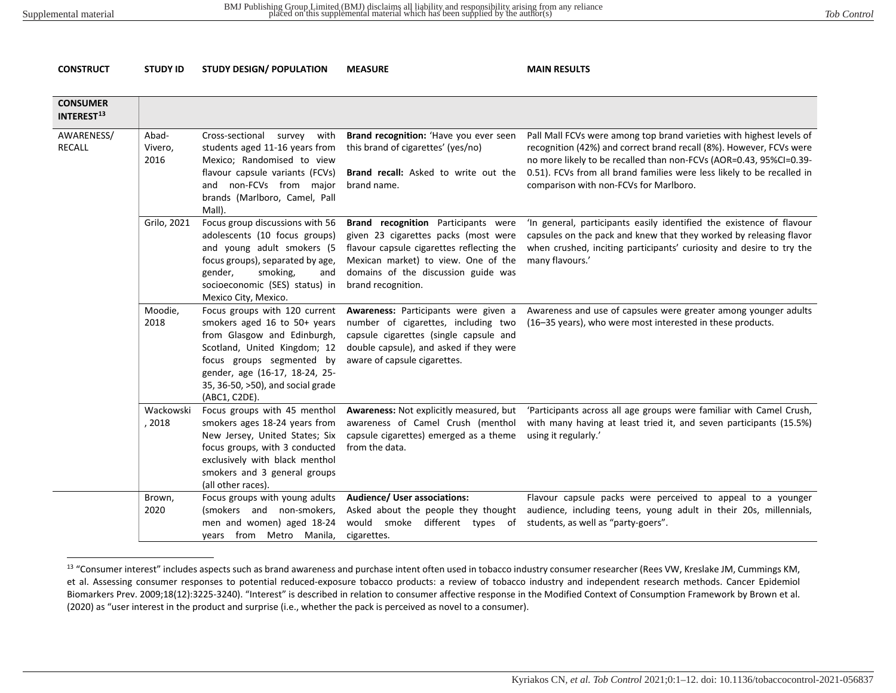**CONSTRUCT STUDY ID STUDY DESIGN/ POPULATION MEASURE MAIN RESULTS**

<span id="page-13-0"></span>

| <b>CONSUMER</b><br>INTEREST <sup>13</sup> |                          |                                                                                                                                                                                                                                                   |                                                                                                                                                                                                                              |                                                                                                                                                                                                                                                                                                                                       |
|-------------------------------------------|--------------------------|---------------------------------------------------------------------------------------------------------------------------------------------------------------------------------------------------------------------------------------------------|------------------------------------------------------------------------------------------------------------------------------------------------------------------------------------------------------------------------------|---------------------------------------------------------------------------------------------------------------------------------------------------------------------------------------------------------------------------------------------------------------------------------------------------------------------------------------|
| AWARENESS/<br><b>RECALL</b>               | Abad-<br>Vivero,<br>2016 | Cross-sectional<br>with<br>survey<br>students aged 11-16 years from<br>Mexico; Randomised to view<br>flavour capsule variants (FCVs)<br>and non-FCVs from major<br>brands (Marlboro, Camel, Pall<br>Mall).                                        | Brand recognition: 'Have you ever seen<br>this brand of cigarettes' (yes/no)<br>Brand recall: Asked to write out the<br>brand name.                                                                                          | Pall Mall FCVs were among top brand varieties with highest levels of<br>recognition (42%) and correct brand recall (8%). However, FCVs were<br>no more likely to be recalled than non-FCVs (AOR=0.43, 95%CI=0.39-<br>0.51). FCVs from all brand families were less likely to be recalled in<br>comparison with non-FCVs for Marlboro. |
|                                           | Grilo, 2021              | Focus group discussions with 56<br>adolescents (10 focus groups)<br>and young adult smokers (5<br>focus groups), separated by age,<br>smoking,<br>gender,<br>and<br>socioeconomic (SES) status) in<br>Mexico City, Mexico.                        | Brand recognition Participants were<br>given 23 cigarettes packs (most were<br>flavour capsule cigarettes reflecting the<br>Mexican market) to view. One of the<br>domains of the discussion guide was<br>brand recognition. | 'In general, participants easily identified the existence of flavour<br>capsules on the pack and knew that they worked by releasing flavor<br>when crushed, inciting participants' curiosity and desire to try the<br>many flavours.'                                                                                                 |
|                                           | Moodie,<br>2018          | Focus groups with 120 current<br>smokers aged 16 to 50+ years<br>from Glasgow and Edinburgh,<br>Scotland, United Kingdom; 12<br>focus groups segmented by<br>gender, age (16-17, 18-24, 25-<br>35, 36-50, >50), and social grade<br>(ABC1, C2DE). | Awareness: Participants were given a<br>number of cigarettes, including two<br>capsule cigarettes (single capsule and<br>double capsule), and asked if they were<br>aware of capsule cigarettes.                             | Awareness and use of capsules were greater among younger adults<br>(16-35 years), who were most interested in these products.                                                                                                                                                                                                         |
|                                           | Wackowski<br>, 2018      | Focus groups with 45 menthol<br>smokers ages 18-24 years from<br>New Jersey, United States; Six<br>focus groups, with 3 conducted<br>exclusively with black menthol<br>smokers and 3 general groups<br>(all other races).                         | Awareness: Not explicitly measured, but<br>awareness of Camel Crush (menthol<br>capsule cigarettes) emerged as a theme<br>from the data.                                                                                     | 'Participants across all age groups were familiar with Camel Crush,<br>with many having at least tried it, and seven participants (15.5%)<br>using it regularly.'                                                                                                                                                                     |
|                                           | Brown,<br>2020           | Focus groups with young adults<br>(smokers and non-smokers,<br>men and women) aged 18-24<br>years from Metro Manila,                                                                                                                              | Audience/ User associations:<br>Asked about the people they thought<br>would smoke different types of students, as well as "party-goers".<br>cigarettes.                                                                     | Flavour capsule packs were perceived to appeal to a younger<br>audience, including teens, young adult in their 20s, millennials,                                                                                                                                                                                                      |

<sup>&</sup>lt;sup>13</sup> "Consumer interest" includes aspects such as brand awareness and purchase intent often used in tobacco industry consumer researcher (Rees VW, Kreslake JM, Cummings KM, et al. Assessing consumer responses to potential reduced-exposure tobacco products: a review of tobacco industry and independent research methods. Cancer Epidemiol Biomarkers Prev. 2009;18(12):3225-3240). "Interest" is described in relation to consumer affective response in the Modified Context of Consumption Framework by Brown et al. (2020) as "user interest in the product and surprise (i.e., whether the pack is perceived as novel to a consumer).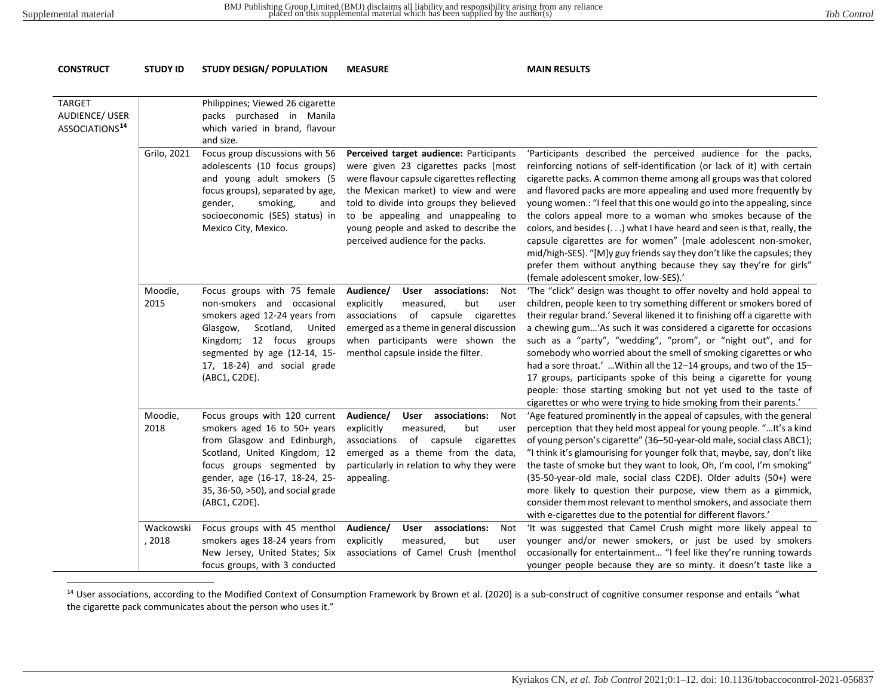<span id="page-14-0"></span>**CONSTRUCT STUDY ID STUDY DESIGN/ POPULATION MEASURE MAIN RESULTS**

#### TARGET AUDIENCE/ USER ASSOCIATIONS**[14](#page-14-0)** Philippines; Viewed 26 cigarette packs purchased in Manila which varied in brand, flavour and size. Grilo, 2021 Focus group discussions with 56 adolescents (10 focus groups) and young adult smokers (5 focus groups), separated by age, gender, smoking, and socioeconomic (SES) status) in Mexico City, Mexico. **Perceived target audience:** Participants were given 23 cigarettes packs (most were flavour capsule cigarettes reflecting the Mexican market) to view and were told to divide into groups they believed to be appealing and unappealing to young people and asked to describe the perceived audience for the packs. 'Participants described the perceived audience for the packs, reinforcing notions of self-identification (or lack of it) with certain cigarette packs. A common theme among all groups was that colored and flavored packs are more appealing and used more frequently by young women.: "I feel that this one would go into the appealing, since the colors appeal more to a woman who smokes because of the colors, and besides (. . .) what I have heard and seen is that, really, the capsule cigarettes are for women" (male adolescent non-smoker, mid/high-SES). "[M]y guy friends say they don't like the capsules; they prefer them without anything because they say they're for girls" (female adolescent smoker, low-SES).' Moodie, 2015 Focus groups with 75 female non-smokers and occasional smokers aged 12-24 years from Glasgow, Scotland, United Kingdom; 12 focus groups segmented by age (12-14, 15- 17, 18-24) and social grade (ABC1, C2DE). **Audience/ User associations:** Not explicitly measured, but user associations of capsule cigarettes emerged as a theme in general discussion when participants were shown the menthol capsule inside the filter. 'The "click" design was thought to offer novelty and hold appeal to children, people keen to try something different or smokers bored of their regular brand.' Several likened it to finishing off a cigarette with a chewing gum…'As such it was considered a cigarette for occasions such as a "party", "wedding", "prom", or "night out", and for somebody who worried about the smell of smoking cigarettes or who had a sore throat.' ... Within all the 12-14 groups, and two of the 15-17 groups, participants spoke of this being a cigarette for young people: those starting smoking but not yet used to the taste of cigarettes or who were trying to hide smoking from their parents.' Moodie, 2018 Focus groups with 120 current smokers aged 16 to 50+ years from Glasgow and Edinburgh, Scotland, United Kingdom; 12 focus groups segmented by gender, age (16-17, 18-24, 25- 35, 36-50, >50), and social grade (ABC1, C2DE). **Audience/ User associations:** Not explicitly measured, but user associations of capsule cigarettes emerged as a theme from the data, particularly in relation to why they were appealing. 'Age featured prominently in the appeal of capsules, with the general perception that they held most appeal for young people. "…It's a kind of young person's cigarette" (36–50-year-old male, social class ABC1); "I think it's glamourising for younger folk that, maybe, say, don't like the taste of smoke but they want to look, Oh, I'm cool, I'm smoking" (35-50-year-old male, social class C2DE). Older adults (50+) were more likely to question their purpose, view them as a gimmick, consider them most relevant to menthol smokers, and associate them with e-cigarettes due to the potential for different flavors.' Wackowski , 2018 Focus groups with 45 menthol smokers ages 18-24 years from New Jersey, United States; Six focus groups, with 3 conducted **Audience/ User associations:** Not explicitly measured, but user associations of Camel Crush (menthol 'It was suggested that Camel Crush might more likely appeal to younger and/or newer smokers, or just be used by smokers occasionally for entertainment… "I feel like they're running towards younger people because they are so minty. it doesn't taste like a

#### <sup>14</sup> User associations, according to the Modified Context of Consumption Framework by Brown et al. (2020) is a sub-construct of cognitive consumer response and entails "what the cigarette pack communicates about the person who uses it."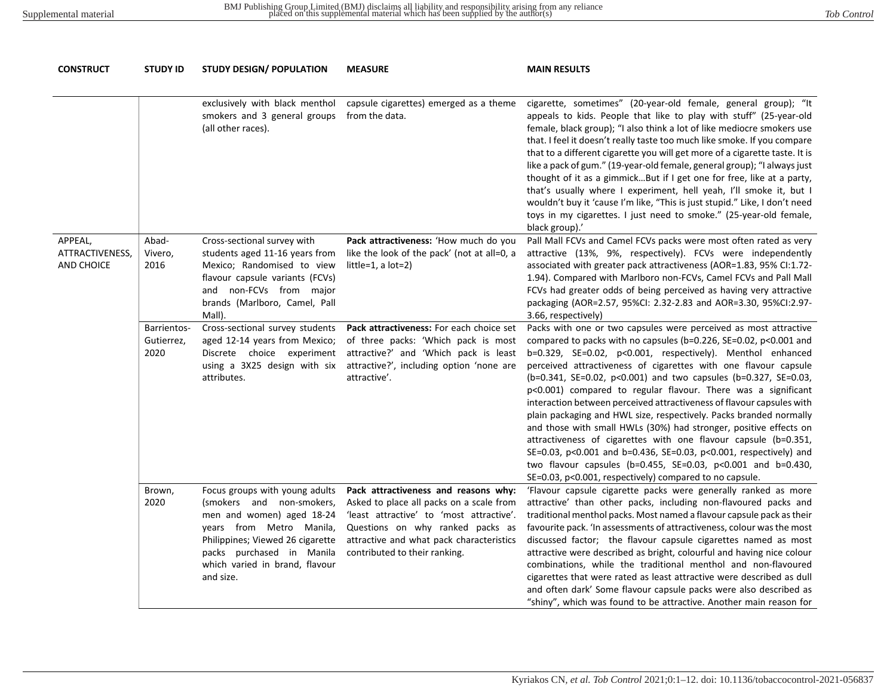| <b>CONSTRUCT</b>                         | <b>STUDY ID</b>                   | <b>STUDY DESIGN/ POPULATION</b>                                                                                                                                                                                                      | <b>MEASURE</b>                                                                                                                                                                                                                                | <b>MAIN RESULTS</b>                                                                                                                                                                                                                                                                                                                                                                                                                                                                                                                                                                                                                                                                                                                                                                                                                                                                               |
|------------------------------------------|-----------------------------------|--------------------------------------------------------------------------------------------------------------------------------------------------------------------------------------------------------------------------------------|-----------------------------------------------------------------------------------------------------------------------------------------------------------------------------------------------------------------------------------------------|---------------------------------------------------------------------------------------------------------------------------------------------------------------------------------------------------------------------------------------------------------------------------------------------------------------------------------------------------------------------------------------------------------------------------------------------------------------------------------------------------------------------------------------------------------------------------------------------------------------------------------------------------------------------------------------------------------------------------------------------------------------------------------------------------------------------------------------------------------------------------------------------------|
|                                          |                                   | exclusively with black menthol<br>smokers and 3 general groups<br>(all other races).                                                                                                                                                 | capsule cigarettes) emerged as a theme<br>from the data.                                                                                                                                                                                      | cigarette, sometimes" (20-year-old female, general group); "It<br>appeals to kids. People that like to play with stuff" (25-year-old<br>female, black group); "I also think a lot of like mediocre smokers use<br>that. I feel it doesn't really taste too much like smoke. If you compare<br>that to a different cigarette you will get more of a cigarette taste. It is<br>like a pack of gum." (19-year-old female, general group); "I always just<br>thought of it as a gimmickBut if I get one for free, like at a party,<br>that's usually where I experiment, hell yeah, I'll smoke it, but I<br>wouldn't buy it 'cause I'm like, "This is just stupid." Like, I don't need<br>toys in my cigarettes. I just need to smoke." (25-year-old female,<br>black group).'                                                                                                                        |
| APPEAL,<br>ATTRACTIVENESS,<br>AND CHOICE | Abad-<br>Vivero,<br>2016          | Cross-sectional survey with<br>students aged 11-16 years from<br>Mexico; Randomised to view<br>flavour capsule variants (FCVs)<br>and non-FCVs from major<br>brands (Marlboro, Camel, Pall<br>Mall).                                 | Pack attractiveness: 'How much do you<br>like the look of the pack' (not at all=0, a<br>$little=1, a lot=2)$                                                                                                                                  | Pall Mall FCVs and Camel FCVs packs were most often rated as very<br>attractive (13%, 9%, respectively). FCVs were independently<br>associated with greater pack attractiveness (AOR=1.83, 95% CI:1.72-<br>1.94). Compared with Marlboro non-FCVs, Camel FCVs and Pall Mall<br>FCVs had greater odds of being perceived as having very attractive<br>packaging (AOR=2.57, 95%CI: 2.32-2.83 and AOR=3.30, 95%CI:2.97-<br>3.66, respectively)                                                                                                                                                                                                                                                                                                                                                                                                                                                       |
|                                          | Barrientos-<br>Gutierrez,<br>2020 | Cross-sectional survey students<br>aged 12-14 years from Mexico;<br>Discrete choice experiment<br>using a 3X25 design with six<br>attributes.                                                                                        | Pack attractiveness: For each choice set<br>of three packs: 'Which pack is most<br>attractive?' and 'Which pack is least<br>attractive?', including option 'none are<br>attractive'.                                                          | Packs with one or two capsules were perceived as most attractive<br>compared to packs with no capsules (b=0.226, SE=0.02, p<0.001 and<br>b=0.329, SE=0.02, p<0.001, respectively). Menthol enhanced<br>perceived attractiveness of cigarettes with one flavour capsule<br>(b=0.341, SE=0.02, p<0.001) and two capsules (b=0.327, SE=0.03,<br>p<0.001) compared to regular flavour. There was a significant<br>interaction between perceived attractiveness of flavour capsules with<br>plain packaging and HWL size, respectively. Packs branded normally<br>and those with small HWLs (30%) had stronger, positive effects on<br>attractiveness of cigarettes with one flavour capsule (b=0.351,<br>SE=0.03, p<0.001 and b=0.436, SE=0.03, p<0.001, respectively) and<br>two flavour capsules (b=0.455, SE=0.03, p<0.001 and b=0.430,<br>SE=0.03, p<0.001, respectively) compared to no capsule. |
|                                          | Brown,<br>2020                    | Focus groups with young adults<br>(smokers and non-smokers,<br>men and women) aged 18-24<br>years from Metro Manila,<br>Philippines; Viewed 26 cigarette<br>packs purchased in Manila<br>which varied in brand, flavour<br>and size. | Pack attractiveness and reasons why:<br>Asked to place all packs on a scale from<br>'least attractive' to 'most attractive'.<br>Questions on why ranked packs as<br>attractive and what pack characteristics<br>contributed to their ranking. | 'Flavour capsule cigarette packs were generally ranked as more<br>attractive' than other packs, including non-flavoured packs and<br>traditional menthol packs. Most named a flavour capsule pack as their<br>favourite pack. 'In assessments of attractiveness, colour was the most<br>discussed factor; the flavour capsule cigarettes named as most<br>attractive were described as bright, colourful and having nice colour<br>combinations, while the traditional menthol and non-flavoured<br>cigarettes that were rated as least attractive were described as dull<br>and often dark' Some flavour capsule packs were also described as<br>"shiny", which was found to be attractive. Another main reason for                                                                                                                                                                              |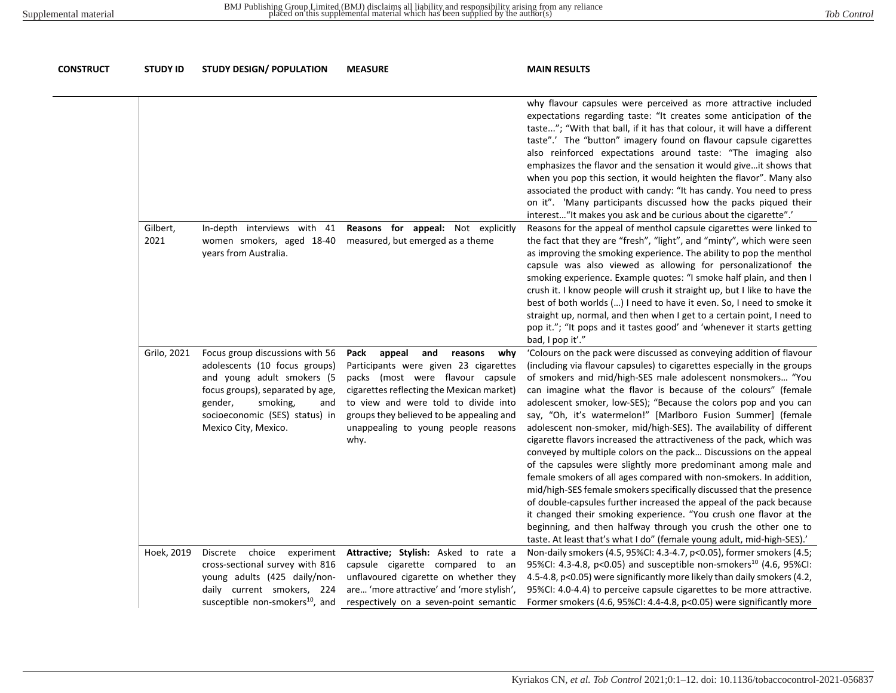| <b>CONSTRUCT</b> | <b>STUDY ID</b>  | <b>STUDY DESIGN/ POPULATION</b>                                                                                                                                                                                            | <b>MEASURE</b>                                                                                                                                                                                                                                                                                       | <b>MAIN RESULTS</b>                                                                                                                                                                                                                                                                                                                                                                                                                                                                                                                                                                                                                                                                                                                                                                                                                                                                                                                                                                                                                                                                                                                              |
|------------------|------------------|----------------------------------------------------------------------------------------------------------------------------------------------------------------------------------------------------------------------------|------------------------------------------------------------------------------------------------------------------------------------------------------------------------------------------------------------------------------------------------------------------------------------------------------|--------------------------------------------------------------------------------------------------------------------------------------------------------------------------------------------------------------------------------------------------------------------------------------------------------------------------------------------------------------------------------------------------------------------------------------------------------------------------------------------------------------------------------------------------------------------------------------------------------------------------------------------------------------------------------------------------------------------------------------------------------------------------------------------------------------------------------------------------------------------------------------------------------------------------------------------------------------------------------------------------------------------------------------------------------------------------------------------------------------------------------------------------|
|                  |                  |                                                                                                                                                                                                                            |                                                                                                                                                                                                                                                                                                      | why flavour capsules were perceived as more attractive included<br>expectations regarding taste: "It creates some anticipation of the<br>taste"; "With that ball, if it has that colour, it will have a different<br>taste".' The "button" imagery found on flavour capsule cigarettes<br>also reinforced expectations around taste: "The imaging also<br>emphasizes the flavor and the sensation it would give it shows that<br>when you pop this section, it would heighten the flavor". Many also<br>associated the product with candy: "It has candy. You need to press<br>on it". 'Many participants discussed how the packs piqued their<br>interest "It makes you ask and be curious about the cigarette".'                                                                                                                                                                                                                                                                                                                                                                                                                               |
|                  | Gilbert,<br>2021 | In-depth interviews with 41<br>women smokers, aged 18-40<br>years from Australia.                                                                                                                                          | Reasons for appeal: Not explicitly<br>measured, but emerged as a theme                                                                                                                                                                                                                               | Reasons for the appeal of menthol capsule cigarettes were linked to<br>the fact that they are "fresh", "light", and "minty", which were seen<br>as improving the smoking experience. The ability to pop the menthol<br>capsule was also viewed as allowing for personalizationof the<br>smoking experience. Example quotes: "I smoke half plain, and then I<br>crush it. I know people will crush it straight up, but I like to have the<br>best of both worlds () I need to have it even. So, I need to smoke it<br>straight up, normal, and then when I get to a certain point, I need to<br>pop it."; "It pops and it tastes good' and 'whenever it starts getting<br>bad, I pop it'."                                                                                                                                                                                                                                                                                                                                                                                                                                                        |
|                  | Grilo, 2021      | Focus group discussions with 56<br>adolescents (10 focus groups)<br>and young adult smokers (5<br>focus groups), separated by age,<br>gender,<br>smoking,<br>and<br>socioeconomic (SES) status) in<br>Mexico City, Mexico. | appeal<br>and<br>Pack<br>reasons<br>why<br>Participants were given 23 cigarettes<br>packs (most were flavour capsule<br>cigarettes reflecting the Mexican market)<br>to view and were told to divide into<br>groups they believed to be appealing and<br>unappealing to young people reasons<br>why. | 'Colours on the pack were discussed as conveying addition of flavour<br>(including via flavour capsules) to cigarettes especially in the groups<br>of smokers and mid/high-SES male adolescent nonsmokers "You<br>can imagine what the flavor is because of the colours" (female<br>adolescent smoker, low-SES); "Because the colors pop and you can<br>say, "Oh, it's watermelon!" [Marlboro Fusion Summer] (female<br>adolescent non-smoker, mid/high-SES). The availability of different<br>cigarette flavors increased the attractiveness of the pack, which was<br>conveyed by multiple colors on the pack Discussions on the appeal<br>of the capsules were slightly more predominant among male and<br>female smokers of all ages compared with non-smokers. In addition,<br>mid/high-SES female smokers specifically discussed that the presence<br>of double-capsules further increased the appeal of the pack because<br>it changed their smoking experience. "You crush one flavor at the<br>beginning, and then halfway through you crush the other one to<br>taste. At least that's what I do" (female young adult, mid-high-SES).' |
|                  | Hoek, 2019       | Discrete<br>choice experiment<br>cross-sectional survey with 816<br>young adults (425 daily/non-<br>daily current smokers, 224<br>susceptible non-smokers <sup>10</sup> , and                                              | Attractive; Stylish: Asked to rate a<br>capsule cigarette compared to an<br>unflavoured cigarette on whether they<br>are 'more attractive' and 'more stylish',<br>respectively on a seven-point semantic                                                                                             | Non-daily smokers (4.5, 95%CI: 4.3-4.7, p<0.05), former smokers (4.5;<br>95%CI: 4.3-4.8, p<0.05) and susceptible non-smokers <sup>10</sup> (4.6, 95%CI:<br>4.5-4.8, p<0.05) were significantly more likely than daily smokers (4.2,<br>95%CI: 4.0-4.4) to perceive capsule cigarettes to be more attractive.<br>Former smokers (4.6, 95%CI: 4.4-4.8, p<0.05) were significantly more                                                                                                                                                                                                                                                                                                                                                                                                                                                                                                                                                                                                                                                                                                                                                             |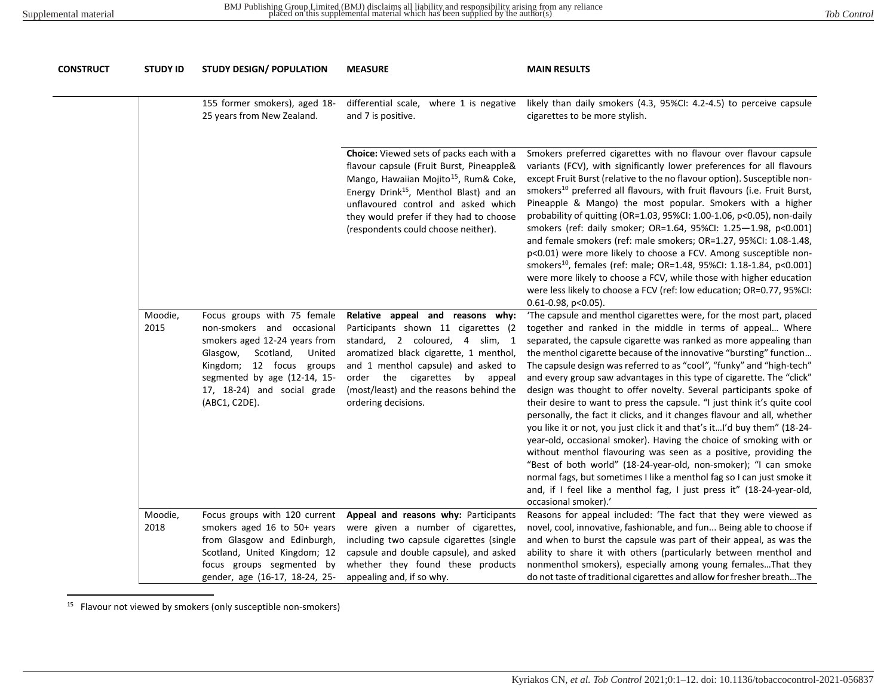<span id="page-17-1"></span><span id="page-17-0"></span>

| CONSTRUCT | <b>STUDY ID</b> | <b>STUDY DESIGN/ POPULATION</b>                                                                                                                                                                                                           | <b>MEASURE</b>                                                                                                                                                                                                                                                                                                           | <b>MAIN RESULTS</b>                                                                                                                                                                                                                                                                                                                                                                                                                                                                                                                                                                                                                                                                                                                                                                                                                                                                                                                                                                                                                                                                                                              |  |  |  |  |
|-----------|-----------------|-------------------------------------------------------------------------------------------------------------------------------------------------------------------------------------------------------------------------------------------|--------------------------------------------------------------------------------------------------------------------------------------------------------------------------------------------------------------------------------------------------------------------------------------------------------------------------|----------------------------------------------------------------------------------------------------------------------------------------------------------------------------------------------------------------------------------------------------------------------------------------------------------------------------------------------------------------------------------------------------------------------------------------------------------------------------------------------------------------------------------------------------------------------------------------------------------------------------------------------------------------------------------------------------------------------------------------------------------------------------------------------------------------------------------------------------------------------------------------------------------------------------------------------------------------------------------------------------------------------------------------------------------------------------------------------------------------------------------|--|--|--|--|
|           |                 | 155 former smokers), aged 18-<br>25 years from New Zealand.                                                                                                                                                                               | differential scale, where 1 is negative<br>and 7 is positive.                                                                                                                                                                                                                                                            | likely than daily smokers (4.3, 95%CI: 4.2-4.5) to perceive capsule<br>cigarettes to be more stylish.                                                                                                                                                                                                                                                                                                                                                                                                                                                                                                                                                                                                                                                                                                                                                                                                                                                                                                                                                                                                                            |  |  |  |  |
|           |                 |                                                                                                                                                                                                                                           | Choice: Viewed sets of packs each with a<br>flavour capsule (Fruit Burst, Pineapple&<br>Mango, Hawaiian Mojito <sup>15</sup> , Rum& Coke,<br>Energy Drink <sup>15</sup> , Menthol Blast) and an<br>unflavoured control and asked which<br>they would prefer if they had to choose<br>(respondents could choose neither). | Smokers preferred cigarettes with no flavour over flavour capsule<br>variants (FCV), with significantly lower preferences for all flavours<br>except Fruit Burst (relative to the no flavour option). Susceptible non-<br>smokers <sup>10</sup> preferred all flavours, with fruit flavours (i.e. Fruit Burst,<br>Pineapple & Mango) the most popular. Smokers with a higher<br>probability of quitting (OR=1.03, 95%CI: 1.00-1.06, p<0.05), non-daily<br>smokers (ref: daily smoker; OR=1.64, 95%CI: 1.25-1.98, p<0.001)<br>and female smokers (ref: male smokers; OR=1.27, 95%CI: 1.08-1.48,<br>p<0.01) were more likely to choose a FCV. Among susceptible non-<br>smokers <sup>10</sup> , females (ref: male; OR=1.48, 95%CI: 1.18-1.84, p<0.001)<br>were more likely to choose a FCV, while those with higher education<br>were less likely to choose a FCV (ref: low education; OR=0.77, 95%CI:<br>$0.61 - 0.98$ , p<0.05).                                                                                                                                                                                                |  |  |  |  |
|           | Moodie,<br>2015 | Focus groups with 75 female<br>non-smokers and occasional<br>smokers aged 12-24 years from<br>Scotland,<br>Glasgow,<br>United<br>Kingdom; 12 focus groups<br>segmented by age (12-14, 15-<br>17, 18-24) and social grade<br>(ABC1, C2DE). | Relative appeal and reasons why:<br>Participants shown 11 cigarettes (2<br>standard, 2 coloured, 4 slim, 1<br>aromatized black cigarette, 1 menthol,<br>and 1 menthol capsule) and asked to<br>order the cigarettes by appeal<br>(most/least) and the reasons behind the<br>ordering decisions.                          | 'The capsule and menthol cigarettes were, for the most part, placed<br>together and ranked in the middle in terms of appeal Where<br>separated, the capsule cigarette was ranked as more appealing than<br>the menthol cigarette because of the innovative "bursting" function<br>The capsule design was referred to as "cool", "funky" and "high-tech"<br>and every group saw advantages in this type of cigarette. The "click"<br>design was thought to offer novelty. Several participants spoke of<br>their desire to want to press the capsule. "I just think it's quite cool<br>personally, the fact it clicks, and it changes flavour and all, whether<br>you like it or not, you just click it and that's itI'd buy them" (18-24-<br>year-old, occasional smoker). Having the choice of smoking with or<br>without menthol flavouring was seen as a positive, providing the<br>"Best of both world" (18-24-year-old, non-smoker); "I can smoke<br>normal fags, but sometimes I like a menthol fag so I can just smoke it<br>and, if I feel like a menthol fag, I just press it" (18-24-year-old,<br>occasional smoker).' |  |  |  |  |
|           | Moodie,<br>2018 | Focus groups with 120 current<br>smokers aged 16 to 50+ years<br>from Glasgow and Edinburgh,<br>Scotland, United Kingdom; 12<br>focus groups segmented by                                                                                 | Appeal and reasons why: Participants<br>were given a number of cigarettes,<br>including two capsule cigarettes (single<br>capsule and double capsule), and asked<br>whether they found these products                                                                                                                    | Reasons for appeal included: 'The fact that they were viewed as<br>novel, cool, innovative, fashionable, and fun Being able to choose if<br>and when to burst the capsule was part of their appeal, as was the<br>ability to share it with others (particularly between menthol and<br>nonmenthol smokers), especially among young femalesThat they                                                                                                                                                                                                                                                                                                                                                                                                                                                                                                                                                                                                                                                                                                                                                                              |  |  |  |  |
|           |                 | gender, age (16-17, 18-24, 25-                                                                                                                                                                                                            | appealing and, if so why.                                                                                                                                                                                                                                                                                                | do not taste of traditional cigarettes and allow for fresher breathThe                                                                                                                                                                                                                                                                                                                                                                                                                                                                                                                                                                                                                                                                                                                                                                                                                                                                                                                                                                                                                                                           |  |  |  |  |

<sup>&</sup>lt;sup>15</sup> Flavour not viewed by smokers (only susceptible non-smokers)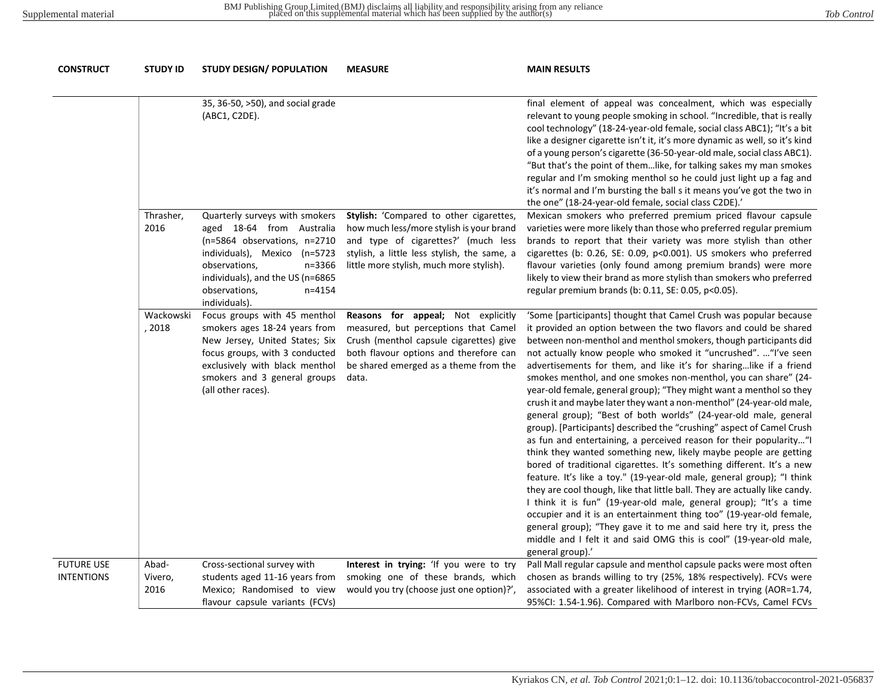| <b>CONSTRUCT</b>                       | <b>STUDY ID</b>          | <b>STUDY DESIGN/ POPULATION</b>                                                                                                                                                                                                            | <b>MEASURE</b>                                                                                                                                                                                                        | <b>MAIN RESULTS</b>                                                                                                                                                                                                                                                                                                                                                                                                                                                                                                                                                                                                                                                                                                                                                                                                                                                                                                                                                                                                                                                                                                                                                                                                                                                                                                                                                                                         |
|----------------------------------------|--------------------------|--------------------------------------------------------------------------------------------------------------------------------------------------------------------------------------------------------------------------------------------|-----------------------------------------------------------------------------------------------------------------------------------------------------------------------------------------------------------------------|-------------------------------------------------------------------------------------------------------------------------------------------------------------------------------------------------------------------------------------------------------------------------------------------------------------------------------------------------------------------------------------------------------------------------------------------------------------------------------------------------------------------------------------------------------------------------------------------------------------------------------------------------------------------------------------------------------------------------------------------------------------------------------------------------------------------------------------------------------------------------------------------------------------------------------------------------------------------------------------------------------------------------------------------------------------------------------------------------------------------------------------------------------------------------------------------------------------------------------------------------------------------------------------------------------------------------------------------------------------------------------------------------------------|
|                                        |                          | 35, 36-50, >50), and social grade<br>(ABC1, C2DE).                                                                                                                                                                                         |                                                                                                                                                                                                                       | final element of appeal was concealment, which was especially<br>relevant to young people smoking in school. "Incredible, that is really<br>cool technology" (18-24-year-old female, social class ABC1); "It's a bit<br>like a designer cigarette isn't it, it's more dynamic as well, so it's kind<br>of a young person's cigarette (36-50-year-old male, social class ABC1).<br>"But that's the point of themlike, for talking sakes my man smokes<br>regular and I'm smoking menthol so he could just light up a fag and<br>it's normal and I'm bursting the ball s it means you've got the two in<br>the one" (18-24-year-old female, social class C2DE).'                                                                                                                                                                                                                                                                                                                                                                                                                                                                                                                                                                                                                                                                                                                                              |
|                                        | Thrasher,<br>2016        | Quarterly surveys with smokers<br>aged 18-64 from Australia<br>(n=5864 observations, n=2710<br>individuals), Mexico (n=5723<br>n=3366<br>observations,<br>individuals), and the US (n=6865<br>observations,<br>$n = 4154$<br>individuals). | Stylish: 'Compared to other cigarettes,<br>how much less/more stylish is your brand<br>and type of cigarettes?' (much less<br>stylish, a little less stylish, the same, a<br>little more stylish, much more stylish). | Mexican smokers who preferred premium priced flavour capsule<br>varieties were more likely than those who preferred regular premium<br>brands to report that their variety was more stylish than other<br>cigarettes (b: 0.26, SE: 0.09, p<0.001). US smokers who preferred<br>flavour varieties (only found among premium brands) were more<br>likely to view their brand as more stylish than smokers who preferred<br>regular premium brands (b: 0.11, SE: 0.05, p<0.05).                                                                                                                                                                                                                                                                                                                                                                                                                                                                                                                                                                                                                                                                                                                                                                                                                                                                                                                                |
|                                        | Wackowski<br>, 2018      | Focus groups with 45 menthol<br>smokers ages 18-24 years from<br>New Jersey, United States; Six<br>focus groups, with 3 conducted<br>exclusively with black menthol<br>smokers and 3 general groups<br>(all other races).                  | Reasons for appeal; Not explicitly<br>measured, but perceptions that Camel<br>Crush (menthol capsule cigarettes) give<br>both flavour options and therefore can<br>be shared emerged as a theme from the<br>data.     | 'Some [participants] thought that Camel Crush was popular because<br>it provided an option between the two flavors and could be shared<br>between non-menthol and menthol smokers, though participants did<br>not actually know people who smoked it "uncrushed".  "I've seen<br>advertisements for them, and like it's for sharinglike if a friend<br>smokes menthol, and one smokes non-menthol, you can share" (24-<br>year-old female, general group); "They might want a menthol so they<br>crush it and maybe later they want a non-menthol" (24-year-old male,<br>general group); "Best of both worlds" (24-year-old male, general<br>group). [Participants] described the "crushing" aspect of Camel Crush<br>as fun and entertaining, a perceived reason for their popularity"I<br>think they wanted something new, likely maybe people are getting<br>bored of traditional cigarettes. It's something different. It's a new<br>feature. It's like a toy." (19-year-old male, general group); "I think<br>they are cool though, like that little ball. They are actually like candy.<br>I think it is fun" (19-year-old male, general group); "It's a time<br>occupier and it is an entertainment thing too" (19-year-old female,<br>general group); "They gave it to me and said here try it, press the<br>middle and I felt it and said OMG this is cool" (19-year-old male,<br>general group).' |
| <b>FUTURE USE</b><br><b>INTENTIONS</b> | Abad-<br>Vivero,<br>2016 | Cross-sectional survey with<br>students aged 11-16 years from<br>Mexico; Randomised to view<br>flavour capsule variants (FCVs)                                                                                                             | Interest in trying: 'If you were to try<br>smoking one of these brands, which<br>would you try (choose just one option)?',                                                                                            | Pall Mall regular capsule and menthol capsule packs were most often<br>chosen as brands willing to try (25%, 18% respectively). FCVs were<br>associated with a greater likelihood of interest in trying (AOR=1.74,<br>95%CI: 1.54-1.96). Compared with Marlboro non-FCVs, Camel FCVs                                                                                                                                                                                                                                                                                                                                                                                                                                                                                                                                                                                                                                                                                                                                                                                                                                                                                                                                                                                                                                                                                                                        |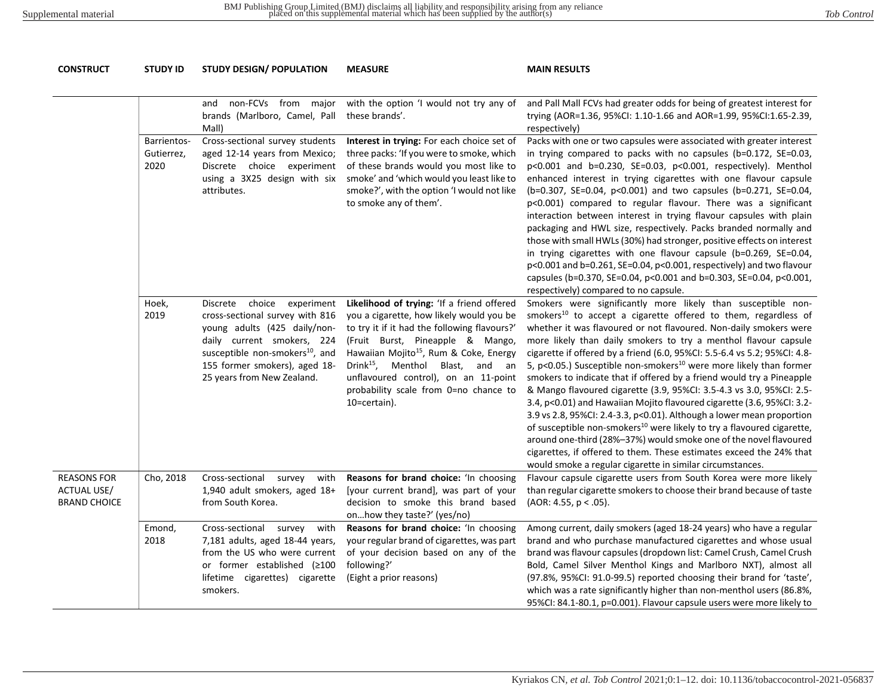| <b>CONSTRUCT</b>                                                | <b>STUDY ID</b>                   | <b>STUDY DESIGN/ POPULATION</b>                                                                                                                                                                                                           | <b>MEASURE</b>                                                                                                                                                                                                                                                                                                                                                                   | <b>MAIN RESULTS</b>                                                                                                                                                                                                                                                                                                                                                                                                                                                                                                                                                                                                                                                                                                                                                                                                                                                                                                                                                                                                                                  |  |  |
|-----------------------------------------------------------------|-----------------------------------|-------------------------------------------------------------------------------------------------------------------------------------------------------------------------------------------------------------------------------------------|----------------------------------------------------------------------------------------------------------------------------------------------------------------------------------------------------------------------------------------------------------------------------------------------------------------------------------------------------------------------------------|------------------------------------------------------------------------------------------------------------------------------------------------------------------------------------------------------------------------------------------------------------------------------------------------------------------------------------------------------------------------------------------------------------------------------------------------------------------------------------------------------------------------------------------------------------------------------------------------------------------------------------------------------------------------------------------------------------------------------------------------------------------------------------------------------------------------------------------------------------------------------------------------------------------------------------------------------------------------------------------------------------------------------------------------------|--|--|
|                                                                 |                                   |                                                                                                                                                                                                                                           |                                                                                                                                                                                                                                                                                                                                                                                  |                                                                                                                                                                                                                                                                                                                                                                                                                                                                                                                                                                                                                                                                                                                                                                                                                                                                                                                                                                                                                                                      |  |  |
|                                                                 |                                   | non-FCVs from major<br>and<br>brands (Marlboro, Camel, Pall<br>Mall)                                                                                                                                                                      | with the option 'I would not try any of<br>these brands'.                                                                                                                                                                                                                                                                                                                        | and Pall Mall FCVs had greater odds for being of greatest interest for<br>trying (AOR=1.36, 95%CI: 1.10-1.66 and AOR=1.99, 95%CI:1.65-2.39,<br>respectively)                                                                                                                                                                                                                                                                                                                                                                                                                                                                                                                                                                                                                                                                                                                                                                                                                                                                                         |  |  |
|                                                                 | Barrientos-<br>Gutierrez,<br>2020 | Cross-sectional survey students<br>aged 12-14 years from Mexico;<br>Discrete choice experiment<br>using a 3X25 design with six<br>attributes.                                                                                             | Interest in trying: For each choice set of<br>three packs: 'If you were to smoke, which<br>of these brands would you most like to<br>smoke' and 'which would you least like to<br>smoke?', with the option 'I would not like<br>to smoke any of them'.                                                                                                                           | Packs with one or two capsules were associated with greater interest<br>in trying compared to packs with no capsules (b=0.172, SE=0.03,<br>p<0.001 and b=0.230, SE=0.03, p<0.001, respectively). Menthol<br>enhanced interest in trying cigarettes with one flavour capsule<br>(b=0.307, SE=0.04, p<0.001) and two capsules (b=0.271, SE=0.04,<br>p<0.001) compared to regular flavour. There was a significant<br>interaction between interest in trying flavour capsules with plain<br>packaging and HWL size, respectively. Packs branded normally and<br>those with small HWLs (30%) had stronger, positive effects on interest<br>in trying cigarettes with one flavour capsule (b=0.269, SE=0.04,<br>p<0.001 and b=0.261, SE=0.04, p<0.001, respectively) and two flavour<br>capsules (b=0.370, SE=0.04, p<0.001 and b=0.303, SE=0.04, p<0.001,<br>respectively) compared to no capsule.                                                                                                                                                       |  |  |
|                                                                 | Hoek,<br>2019                     | Discrete choice experiment<br>cross-sectional survey with 816<br>young adults (425 daily/non-<br>daily current smokers, 224<br>susceptible non-smokers <sup>10</sup> , and<br>155 former smokers), aged 18-<br>25 years from New Zealand. | Likelihood of trying: 'If a friend offered<br>you a cigarette, how likely would you be<br>to try it if it had the following flavours?'<br>(Fruit Burst, Pineapple & Mango,<br>Hawaiian Mojito <sup>15</sup> , Rum & Coke, Energy<br>Drink <sup>15</sup> , Menthol Blast, and an<br>unflavoured control), on an 11-point<br>probability scale from 0=no chance to<br>10=certain). | Smokers were significantly more likely than susceptible non-<br>smokers <sup>10</sup> to accept a cigarette offered to them, regardless of<br>whether it was flavoured or not flavoured. Non-daily smokers were<br>more likely than daily smokers to try a menthol flavour capsule<br>cigarette if offered by a friend (6.0, 95%CI: 5.5-6.4 vs 5.2; 95%CI: 4.8-<br>5, p<0.05.) Susceptible non-smokers <sup>10</sup> were more likely than former<br>smokers to indicate that if offered by a friend would try a Pineapple<br>& Mango flavoured cigarette (3.9, 95%CI: 3.5-4.3 vs 3.0, 95%CI: 2.5-<br>3.4, p<0.01) and Hawaiian Mojito flavoured cigarette (3.6, 95%CI: 3.2-<br>3.9 vs 2.8, 95%CI: 2.4-3.3, p<0.01). Although a lower mean proportion<br>of susceptible non-smokers <sup>10</sup> were likely to try a flavoured cigarette,<br>around one-third (28%-37%) would smoke one of the novel flavoured<br>cigarettes, if offered to them. These estimates exceed the 24% that<br>would smoke a regular cigarette in similar circumstances. |  |  |
| <b>REASONS FOR</b><br><b>ACTUAL USE/</b><br><b>BRAND CHOICE</b> | Cho, 2018                         | Cross-sectional survey with<br>1,940 adult smokers, aged 18+<br>from South Korea.                                                                                                                                                         | Reasons for brand choice: 'In choosing<br>[your current brand], was part of your<br>decision to smoke this brand based<br>onhow they taste?' (yes/no)                                                                                                                                                                                                                            | Flavour capsule cigarette users from South Korea were more likely<br>than regular cigarette smokers to choose their brand because of taste<br>(AOR: 4.55, p < .05).                                                                                                                                                                                                                                                                                                                                                                                                                                                                                                                                                                                                                                                                                                                                                                                                                                                                                  |  |  |
|                                                                 | Emond,<br>2018                    | Cross-sectional survey<br>with<br>7,181 adults, aged 18-44 years,<br>from the US who were current<br>or former established (≥100<br>lifetime cigarettes) cigarette<br>smokers.                                                            | Reasons for brand choice: 'In choosing<br>your regular brand of cigarettes, was part<br>of your decision based on any of the<br>following?'<br>(Eight a prior reasons)                                                                                                                                                                                                           | Among current, daily smokers (aged 18-24 years) who have a regular<br>brand and who purchase manufactured cigarettes and whose usual<br>brand was flavour capsules (dropdown list: Camel Crush, Camel Crush<br>Bold, Camel Silver Menthol Kings and Marlboro NXT), almost all<br>(97.8%, 95%CI: 91.0-99.5) reported choosing their brand for 'taste',<br>which was a rate significantly higher than non-menthol users (86.8%,<br>95%CI: 84.1-80.1, p=0.001). Flavour capsule users were more likely to                                                                                                                                                                                                                                                                                                                                                                                                                                                                                                                                               |  |  |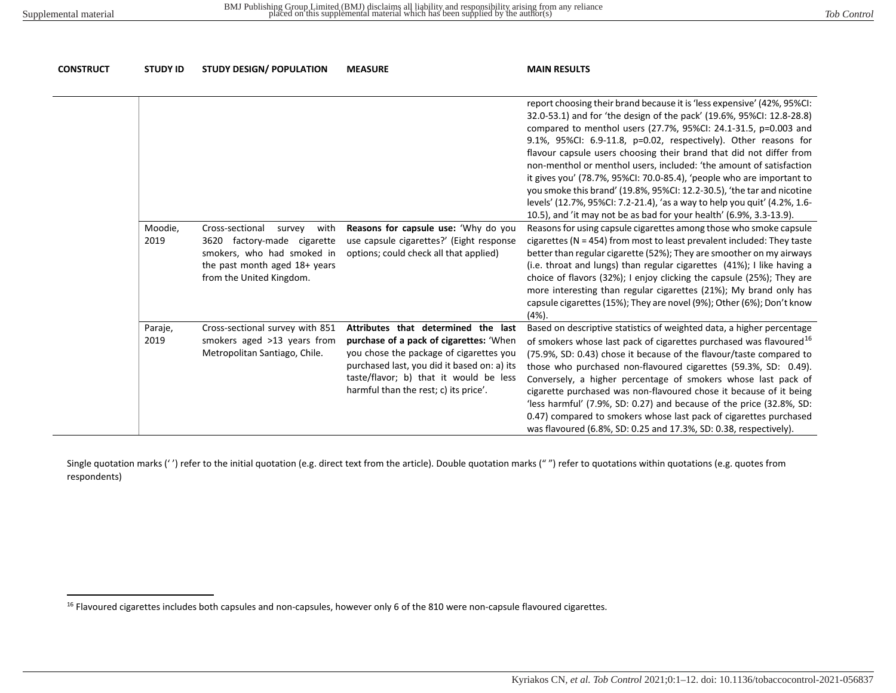<span id="page-20-0"></span>

| <b>CONSTRUCT</b> | <b>STUDY ID</b> | <b>STUDY DESIGN/ POPULATION</b>                                                                                                                             | <b>MEASURE</b>                                                                                                                                                                                                                                              | <b>MAIN RESULTS</b>                                                                                                                                                                                                                                                                                                                                                                                                                                                                                                                                                                                                                                                                                                                         |
|------------------|-----------------|-------------------------------------------------------------------------------------------------------------------------------------------------------------|-------------------------------------------------------------------------------------------------------------------------------------------------------------------------------------------------------------------------------------------------------------|---------------------------------------------------------------------------------------------------------------------------------------------------------------------------------------------------------------------------------------------------------------------------------------------------------------------------------------------------------------------------------------------------------------------------------------------------------------------------------------------------------------------------------------------------------------------------------------------------------------------------------------------------------------------------------------------------------------------------------------------|
|                  |                 |                                                                                                                                                             |                                                                                                                                                                                                                                                             | report choosing their brand because it is 'less expensive' (42%, 95%CI:<br>32.0-53.1) and for 'the design of the pack' (19.6%, 95%CI: 12.8-28.8)<br>compared to menthol users (27.7%, 95%CI: 24.1-31.5, p=0.003 and<br>9.1%, 95%CI: 6.9-11.8, p=0.02, respectively). Other reasons for<br>flavour capsule users choosing their brand that did not differ from<br>non-menthol or menthol users, included: 'the amount of satisfaction<br>it gives you' (78.7%, 95%CI: 70.0-85.4), 'people who are important to<br>you smoke this brand' (19.8%, 95%CI: 12.2-30.5), 'the tar and nicotine<br>levels' (12.7%, 95%CI: 7.2-21.4), 'as a way to help you quit' (4.2%, 1.6-<br>10.5), and 'it may not be as bad for your health' (6.9%, 3.3-13.9). |
|                  | Moodie,<br>2019 | Cross-sectional<br>with<br>survey<br>3620 factory-made cigarette<br>smokers, who had smoked in<br>the past month aged 18+ years<br>from the United Kingdom. | Reasons for capsule use: 'Why do you<br>use capsule cigarettes?' (Eight response<br>options; could check all that applied)                                                                                                                                  | Reasons for using capsule cigarettes among those who smoke capsule<br>cigarettes ( $N = 454$ ) from most to least prevalent included: They taste<br>better than regular cigarette (52%); They are smoother on my airways<br>(i.e. throat and lungs) than regular cigarettes (41%); I like having a<br>choice of flavors (32%); I enjoy clicking the capsule (25%); They are<br>more interesting than regular cigarettes (21%); My brand only has<br>capsule cigarettes (15%); They are novel (9%); Other (6%); Don't know<br>$(4%)$ .                                                                                                                                                                                                       |
|                  | Paraje,<br>2019 | Cross-sectional survey with 851<br>smokers aged >13 years from<br>Metropolitan Santiago, Chile.                                                             | Attributes that determined the last<br>purchase of a pack of cigarettes: 'When<br>you chose the package of cigarettes you<br>purchased last, you did it based on: a) its<br>taste/flavor; b) that it would be less<br>harmful than the rest; c) its price'. | Based on descriptive statistics of weighted data, a higher percentage<br>of smokers whose last pack of cigarettes purchased was flavoured <sup>16</sup><br>(75.9%, SD: 0.43) chose it because of the flavour/taste compared to<br>those who purchased non-flavoured cigarettes (59.3%, SD: 0.49).<br>Conversely, a higher percentage of smokers whose last pack of<br>cigarette purchased was non-flavoured chose it because of it being<br>'less harmful' (7.9%, SD: 0.27) and because of the price (32.8%, SD:<br>0.47) compared to smokers whose last pack of cigarettes purchased<br>was flavoured (6.8%, SD: 0.25 and 17.3%, SD: 0.38, respectively).                                                                                  |

Single quotation marks ('') refer to the initial quotation (e.g. direct text from the article). Double quotation marks ("") refer to quotations within quotations (e.g. quotes from respondents)

<sup>&</sup>lt;sup>16</sup> Flavoured cigarettes includes both capsules and non-capsules, however only 6 of the 810 were non-capsule flavoured cigarettes.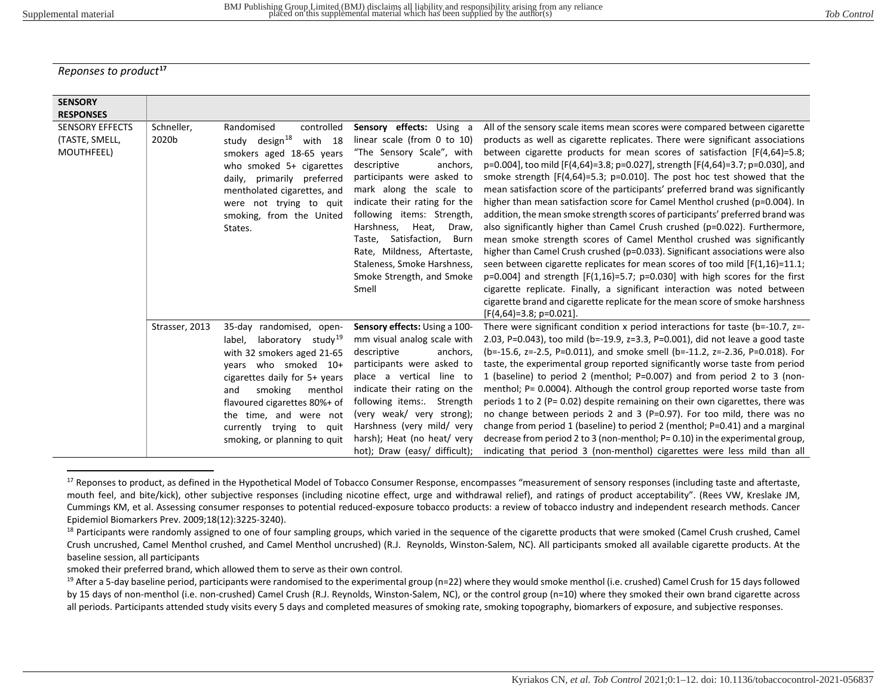<span id="page-21-2"></span><span id="page-21-1"></span><span id="page-21-0"></span>*Reponses to product***[17](#page-21-0)**

| <b>SENSORY</b>                                                             |                     |                                                                                                                                                                                                                                                                                                                |                                                                                                                                                                                                                                                                                                                                                                                                             |                                                                                                                                                                                                                                                                                                                                                                                                                                                                                                                                                                                                                                                                                                                                                                                                                                                                                                                                                                                                                                                                                                                                                                                                                                                                            |
|----------------------------------------------------------------------------|---------------------|----------------------------------------------------------------------------------------------------------------------------------------------------------------------------------------------------------------------------------------------------------------------------------------------------------------|-------------------------------------------------------------------------------------------------------------------------------------------------------------------------------------------------------------------------------------------------------------------------------------------------------------------------------------------------------------------------------------------------------------|----------------------------------------------------------------------------------------------------------------------------------------------------------------------------------------------------------------------------------------------------------------------------------------------------------------------------------------------------------------------------------------------------------------------------------------------------------------------------------------------------------------------------------------------------------------------------------------------------------------------------------------------------------------------------------------------------------------------------------------------------------------------------------------------------------------------------------------------------------------------------------------------------------------------------------------------------------------------------------------------------------------------------------------------------------------------------------------------------------------------------------------------------------------------------------------------------------------------------------------------------------------------------|
| <b>RESPONSES</b><br><b>SENSORY EFFECTS</b><br>(TASTE, SMELL,<br>MOUTHFEEL) | Schneller,<br>2020b | controlled<br>Randomised<br>study design <sup>18</sup><br>with 18<br>smokers aged 18-65 years<br>who smoked 5+ cigarettes<br>daily, primarily preferred<br>mentholated cigarettes, and<br>were not trying to quit<br>smoking, from the United<br>States.                                                       | Sensory effects: Using a<br>linear scale (from 0 to 10)<br>"The Sensory Scale", with<br>descriptive<br>anchors,<br>participants were asked to<br>mark along the scale to<br>indicate their rating for the<br>following items: Strength,<br>Harshness,<br>Heat,<br>Draw,<br>Taste, Satisfaction,<br>Burn<br>Rate, Mildness, Aftertaste,<br>Staleness, Smoke Harshness,<br>Smoke Strength, and Smoke<br>Smell | All of the sensory scale items mean scores were compared between cigarette<br>products as well as cigarette replicates. There were significant associations<br>between cigarette products for mean scores of satisfaction $[F(4,64)=5.8]$ ;<br>p=0.004], too mild [F(4,64)=3.8; p=0.027], strength [F(4,64)=3.7; p=0.030], and<br>smoke strength $[F(4,64)=5.3; p=0.010]$ . The post hoc test showed that the<br>mean satisfaction score of the participants' preferred brand was significantly<br>higher than mean satisfaction score for Camel Menthol crushed (p=0.004). In<br>addition, the mean smoke strength scores of participants' preferred brand was<br>also significantly higher than Camel Crush crushed (p=0.022). Furthermore,<br>mean smoke strength scores of Camel Menthol crushed was significantly<br>higher than Camel Crush crushed (p=0.033). Significant associations were also<br>seen between cigarette replicates for mean scores of too mild $[F(1,16)=11.1;$<br>$p=0.004$ ] and strength [F(1,16)=5.7; $p=0.030$ ] with high scores for the first<br>cigarette replicate. Finally, a significant interaction was noted between<br>cigarette brand and cigarette replicate for the mean score of smoke harshness<br>$[F(4,64)=3.8; p=0.021]$ . |
|                                                                            | Strasser, 2013      | 35-day randomised, open-<br>label, laboratory study <sup>19</sup><br>with 32 smokers aged 21-65<br>years who smoked 10+<br>cigarettes daily for 5+ years<br>and<br>smoking<br>menthol<br>flavoured cigarettes 80%+ of<br>the time, and were not<br>currently trying to<br>quit<br>smoking, or planning to quit | Sensory effects: Using a 100-<br>mm visual analog scale with<br>anchors,<br>descriptive<br>participants were asked to<br>place a vertical line to<br>indicate their rating on the<br>following items:. Strength<br>(very weak/ very strong);<br>Harshness (very mild/ very<br>harsh); Heat (no heat/ very<br>hot); Draw (easy/ difficult);                                                                  | There were significant condition x period interactions for taste (b=-10.7, z=-<br>2.03, P=0.043), too mild (b=-19.9, $z=3.3$ , P=0.001), did not leave a good taste<br>(b=-15.6, z=-2.5, P=0.011), and smoke smell (b=-11.2, z=-2.36, P=0.018). For<br>taste, the experimental group reported significantly worse taste from period<br>1 (baseline) to period 2 (menthol; P=0.007) and from period 2 to 3 (non-<br>menthol; P= 0.0004). Although the control group reported worse taste from<br>periods 1 to 2 ( $P = 0.02$ ) despite remaining on their own cigarettes, there was<br>no change between periods 2 and 3 (P=0.97). For too mild, there was no<br>change from period 1 (baseline) to period 2 (menthol; P=0.41) and a marginal<br>decrease from period 2 to 3 (non-menthol; $P = 0.10$ ) in the experimental group,<br>indicating that period 3 (non-menthol) cigarettes were less mild than all                                                                                                                                                                                                                                                                                                                                                             |

<sup>&</sup>lt;sup>17</sup> Reponses to product, as defined in the Hypothetical Model of Tobacco Consumer Response, encompasses "measurement of sensory responses (including taste and aftertaste, mouth feel, and bite/kick), other subjective responses (including nicotine effect, urge and withdrawal relief), and ratings of product acceptability". (Rees VW, Kreslake JM, Cummings KM, et al. Assessing consumer responses to potential reduced-exposure tobacco products: a review of tobacco industry and independent research methods. Cancer Epidemiol Biomarkers Prev. 2009;18(12):3225-3240).

smoked their preferred brand, which allowed them to serve as their own control.

<sup>&</sup>lt;sup>18</sup> Participants were randomly assigned to one of four sampling groups, which varied in the sequence of the cigarette products that were smoked (Camel Crush crushed, Camel Crush uncrushed, Camel Menthol crushed, and Camel Menthol uncrushed) (R.J. Reynolds, Winston-Salem, NC). All participants smoked all available cigarette products. At the baseline session, all participants

<sup>&</sup>lt;sup>19</sup> After a 5-day baseline period, participants were randomised to the experimental group (n=22) where they would smoke menthol (i.e. crushed) Camel Crush for 15 days followed by 15 days of non-menthol (i.e. non-crushed) Camel Crush (R.J. Reynolds, Winston-Salem, NC), or the control group (n=10) where they smoked their own brand cigarette across all periods. Participants attended study visits every 5 days and completed measures of smoking rate, smoking topography, biomarkers of exposure, and subjective responses.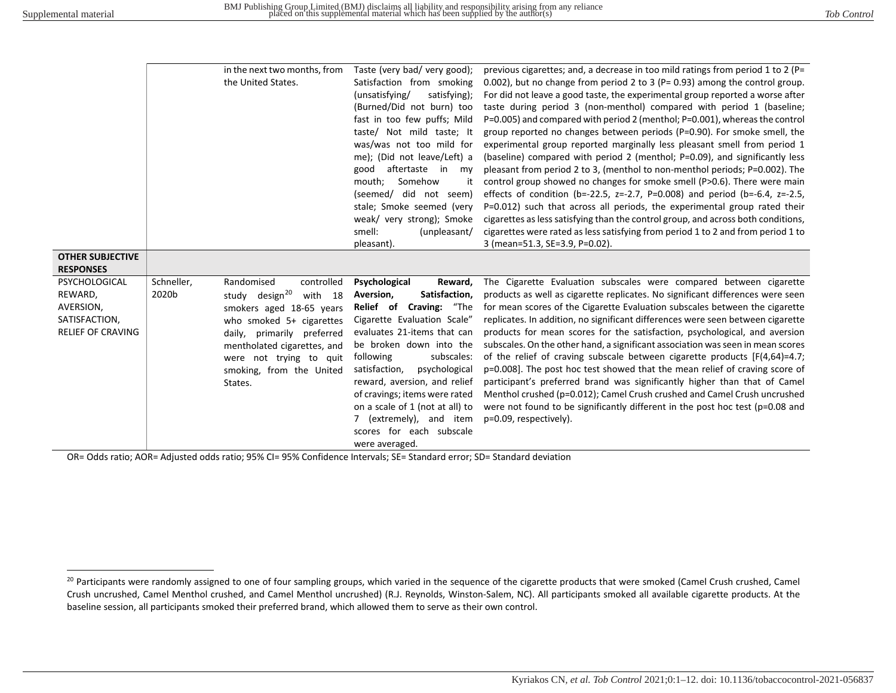<span id="page-22-0"></span>

|                                                                                    |                     | in the next two months, from<br>the United States.                                                                                                                                                                                                            | Taste (very bad/ very good);<br>Satisfaction from smoking<br>(unsatisfying/<br>satisfying);<br>(Burned/Did not burn) too<br>fast in too few puffs; Mild<br>taste/ Not mild taste; It<br>was/was not too mild for<br>me); (Did not leave/Left) a<br>aftertaste in my<br>good<br>mouth;<br>Somehow<br>it<br>(seemed/ did not seem)<br>stale; Smoke seemed (very<br>weak/ very strong); Smoke<br>smell:<br>(unpleasant/<br>pleasant). | previous cigarettes; and, a decrease in too mild ratings from period 1 to 2 (P=<br>0.002), but no change from period 2 to 3 (P= 0.93) among the control group.<br>For did not leave a good taste, the experimental group reported a worse after<br>taste during period 3 (non-menthol) compared with period 1 (baseline;<br>P=0.005) and compared with period 2 (menthol; P=0.001), whereas the control<br>group reported no changes between periods (P=0.90). For smoke smell, the<br>experimental group reported marginally less pleasant smell from period 1<br>(baseline) compared with period 2 (menthol; P=0.09), and significantly less<br>pleasant from period 2 to 3, (menthol to non-menthol periods; P=0.002). The<br>control group showed no changes for smoke smell (P>0.6). There were main<br>effects of condition (b=-22.5, z=-2.7, P=0.008) and period (b=-6.4, z=-2.5,<br>P=0.012) such that across all periods, the experimental group rated their<br>cigarettes as less satisfying than the control group, and across both conditions,<br>cigarettes were rated as less satisfying from period 1 to 2 and from period 1 to<br>3 (mean=51.3, SE=3.9, P=0.02). |
|------------------------------------------------------------------------------------|---------------------|---------------------------------------------------------------------------------------------------------------------------------------------------------------------------------------------------------------------------------------------------------------|------------------------------------------------------------------------------------------------------------------------------------------------------------------------------------------------------------------------------------------------------------------------------------------------------------------------------------------------------------------------------------------------------------------------------------|----------------------------------------------------------------------------------------------------------------------------------------------------------------------------------------------------------------------------------------------------------------------------------------------------------------------------------------------------------------------------------------------------------------------------------------------------------------------------------------------------------------------------------------------------------------------------------------------------------------------------------------------------------------------------------------------------------------------------------------------------------------------------------------------------------------------------------------------------------------------------------------------------------------------------------------------------------------------------------------------------------------------------------------------------------------------------------------------------------------------------------------------------------------------------------|
| <b>OTHER SUBJECTIVE</b><br><b>RESPONSES</b>                                        |                     |                                                                                                                                                                                                                                                               |                                                                                                                                                                                                                                                                                                                                                                                                                                    |                                                                                                                                                                                                                                                                                                                                                                                                                                                                                                                                                                                                                                                                                                                                                                                                                                                                                                                                                                                                                                                                                                                                                                                  |
| PSYCHOLOGICAL<br>REWARD,<br>AVERSION,<br>SATISFACTION,<br><b>RELIEF OF CRAVING</b> | Schneller,<br>2020b | Randomised<br>controlled<br>study design <sup>20</sup><br>with 18<br>smokers aged 18-65 years<br>who smoked $5+$ cigarettes<br>daily,<br>primarily preferred<br>mentholated cigarettes, and<br>were not trying to quit<br>smoking, from the United<br>States. | Psychological<br>Reward,<br>Aversion,<br>Satisfaction,<br>Relief of Craving: "The<br>Cigarette Evaluation Scale"<br>evaluates 21-items that can<br>be broken down into the<br>subscales:<br>following<br>satisfaction,<br>psychological<br>reward, aversion, and relief<br>of cravings; items were rated<br>on a scale of 1 (not at all) to<br>7 (extremely), and item<br>scores for each subscale<br>were averaged.               | The Cigarette Evaluation subscales were compared between cigarette<br>products as well as cigarette replicates. No significant differences were seen<br>for mean scores of the Cigarette Evaluation subscales between the cigarette<br>replicates. In addition, no significant differences were seen between cigarette<br>products for mean scores for the satisfaction, psychological, and aversion<br>subscales. On the other hand, a significant association was seen in mean scores<br>of the relief of craving subscale between cigarette products $[F(4,64)=4.7;$<br>p=0.008]. The post hoc test showed that the mean relief of craving score of<br>participant's preferred brand was significantly higher than that of Camel<br>Menthol crushed (p=0.012); Camel Crush crushed and Camel Crush uncrushed<br>were not found to be significantly different in the post hoc test ( $p=0.08$ and<br>p=0.09, respectively).                                                                                                                                                                                                                                                    |

OR= Odds ratio; AOR= Adjusted odds ratio; 95% CI= 95% Confidence Intervals; SE= Standard error; SD= Standard deviation

<sup>&</sup>lt;sup>20</sup> Participants were randomly assigned to one of four sampling groups, which varied in the sequence of the cigarette products that were smoked (Camel Crush crushed, Camel Crush uncrushed, Camel Menthol crushed, and Camel Menthol uncrushed) (R.J. Reynolds, Winston-Salem, NC). All participants smoked all available cigarette products. At the baseline session, all participants smoked their preferred brand, which allowed them to serve as their own control.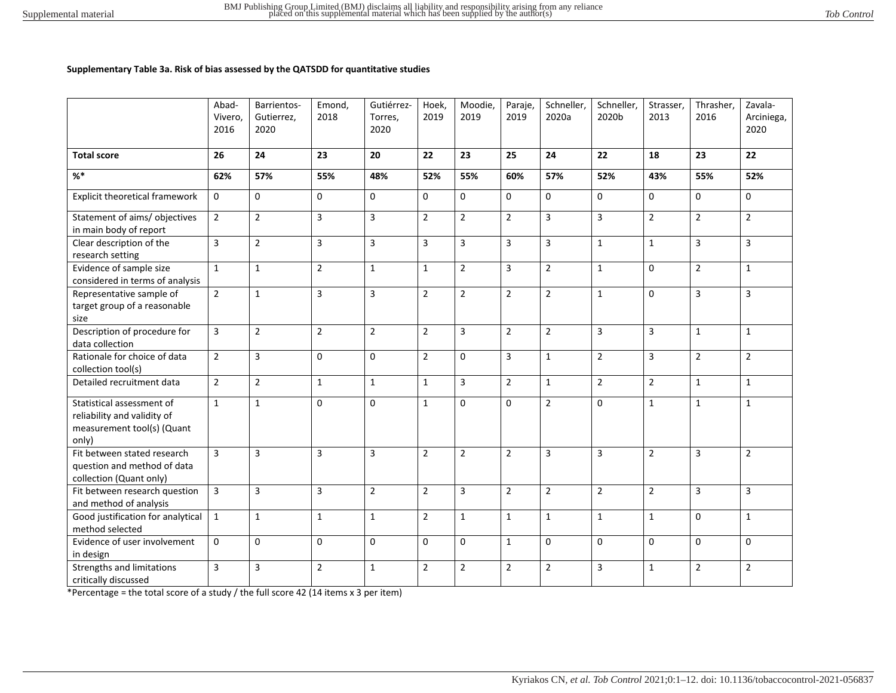#### **Supplementary Table 3a. Risk of bias assessed by the QATSDD for quantitative studies**

|                                                                                                 | Abad-<br>Vivero.<br>2016 | Barrientos-<br>Gutierrez.<br>2020 | Emond,<br>2018 | Gutiérrez-<br>Torres.<br>2020 | Hoek,<br>2019  | Moodie,<br>2019 | Paraje,<br>2019 | Schneller,<br>2020a | Schneller,<br>2020b | Strasser,<br>2013 | Thrasher,<br>2016 | Zavala-<br>Arciniega,<br>2020 |
|-------------------------------------------------------------------------------------------------|--------------------------|-----------------------------------|----------------|-------------------------------|----------------|-----------------|-----------------|---------------------|---------------------|-------------------|-------------------|-------------------------------|
| <b>Total score</b>                                                                              | 26                       | 24                                | 23             | 20                            | 22             | 23              | 25              | 24                  | 22                  | 18                | 23                | 22                            |
| %                                                                                               | 62%                      | 57%                               | 55%            | 48%                           | 52%            | 55%             | 60%             | 57%                 | 52%                 | 43%               | 55%               | 52%                           |
| Explicit theoretical framework                                                                  | $\mathbf 0$              | $\mathbf 0$                       | $\mathbf 0$    | $\mathbf 0$                   | 0              | $\Omega$        | $\mathbf 0$     | $\mathbf 0$         | 0                   | 0                 | $\mathbf 0$       | $\mathbf 0$                   |
| Statement of aims/ objectives<br>in main body of report                                         | $\overline{2}$           | $\overline{2}$                    | 3              | 3                             | $\overline{2}$ | $\overline{2}$  | $\overline{2}$  | $\overline{3}$      | 3                   | $\overline{2}$    | $\overline{2}$    | $\overline{2}$                |
| Clear description of the<br>research setting                                                    | 3                        | $\overline{2}$                    | 3              | 3                             | 3              | 3               | 3               | 3                   | $\mathbf{1}$        | $\mathbf{1}$      | 3                 | 3                             |
| Evidence of sample size<br>considered in terms of analysis                                      | $\mathbf 1$              | $\mathbf{1}$                      | $\overline{2}$ | $\mathbf{1}$                  | $\mathbf{1}$   | $\overline{2}$  | 3               | $\overline{2}$      | $\mathbf{1}$        | $\mathbf 0$       | $\overline{2}$    | $\mathbf{1}$                  |
| Representative sample of<br>target group of a reasonable<br>size                                | $\overline{2}$           | $\mathbf 1$                       | 3              | 3                             | $\overline{2}$ | $\overline{2}$  | $\overline{2}$  | $\overline{2}$      | $\mathbf{1}$        | $\mathbf 0$       | 3                 | 3                             |
| Description of procedure for<br>data collection                                                 | $\overline{3}$           | $\overline{2}$                    | $\overline{2}$ | $\overline{2}$                | $\overline{2}$ | 3               | $\overline{2}$  | $\overline{2}$      | 3                   | 3                 | $\mathbf{1}$      | $\mathbf{1}$                  |
| Rationale for choice of data<br>collection tool(s)                                              | $\overline{2}$           | $\overline{3}$                    | $\Omega$       | $\Omega$                      | $\overline{2}$ | $\Omega$        | 3               | $\mathbf{1}$        | $\overline{2}$      | $\overline{3}$    | $\overline{2}$    | $\overline{2}$                |
| Detailed recruitment data                                                                       | $\overline{2}$           | $\overline{2}$                    | $\mathbf{1}$   | $\mathbf{1}$                  | $\mathbf{1}$   | $\overline{3}$  | $\overline{2}$  | $\mathbf{1}$        | $\overline{2}$      | $\overline{2}$    | $\mathbf{1}$      | $\mathbf{1}$                  |
| Statistical assessment of<br>reliability and validity of<br>measurement tool(s) (Quant<br>only) | $\mathbf 1$              | $\mathbf{1}$                      | $\mathbf 0$    | $\mathbf 0$                   | $\mathbf{1}$   | $\Omega$        | $\mathbf 0$     | $\overline{2}$      | 0                   | $\mathbf{1}$      | $\mathbf{1}$      | $\mathbf{1}$                  |
| Fit between stated research<br>question and method of data<br>collection (Quant only)           | $\overline{3}$           | 3                                 | 3              | $\overline{3}$                | $\overline{2}$ | $\overline{2}$  | $\overline{2}$  | $\overline{3}$      | 3                   | $\overline{2}$    | 3                 | $\overline{2}$                |
| Fit between research question<br>and method of analysis                                         | 3                        | $\overline{\mathbf{3}}$           | 3              | $\overline{2}$                | $\overline{2}$ | 3               | $\overline{2}$  | $\overline{2}$      | $\overline{2}$      | $\overline{2}$    | 3                 | 3                             |
| Good justification for analytical<br>method selected                                            | $\mathbf{1}$             | $\mathbf{1}$                      | $\mathbf{1}$   | $\mathbf{1}$                  | $\overline{2}$ | $\mathbf{1}$    | $\mathbf{1}$    | $\mathbf{1}$        | $\mathbf{1}$        | $\mathbf{1}$      | 0                 | $\mathbf{1}$                  |
| Evidence of user involvement<br>in design                                                       | $\Omega$                 | 0                                 | $\mathbf 0$    | $\mathbf 0$                   | 0              | $\Omega$        | $\mathbf{1}$    | $\mathbf 0$         | 0                   | $\Omega$          | 0                 | 0                             |
| Strengths and limitations<br>critically discussed                                               | 3                        | $\mathsf{3}$                      | $\overline{2}$ | $\mathbf 1$                   | $\overline{2}$ | $\overline{2}$  | $\overline{2}$  | $\overline{2}$      | 3                   | $\mathbf{1}$      | $\overline{2}$    | $\overline{2}$                |

\*Percentage = the total score of a study / the full score 42 (14 items x 3 per item)